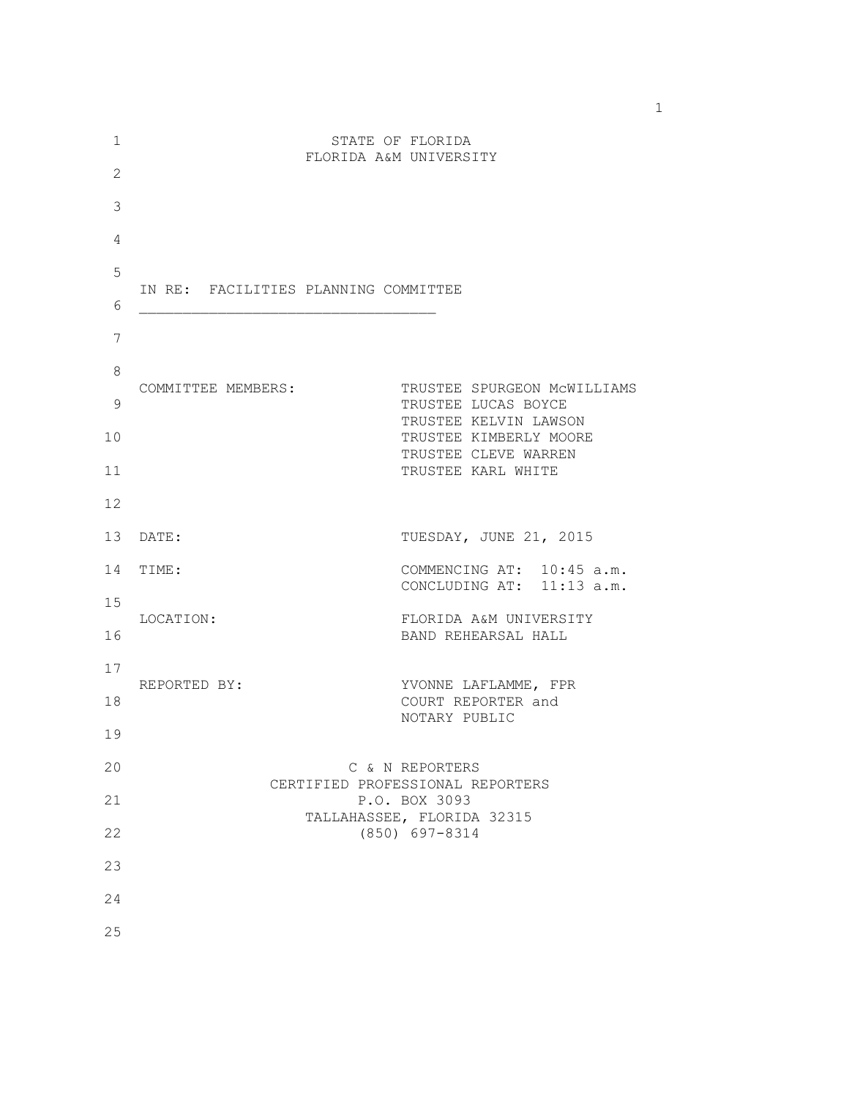| 1           |                                      | STATE OF FLORIDA                                       |
|-------------|--------------------------------------|--------------------------------------------------------|
| 2           |                                      | FLORIDA A&M UNIVERSITY                                 |
| 3           |                                      |                                                        |
| 4           |                                      |                                                        |
| 5           | IN RE: FACILITIES PLANNING COMMITTEE |                                                        |
| 6           |                                      |                                                        |
| 7           |                                      |                                                        |
| $\,8\,$     | COMMITTEE MEMBERS:                   | TRUSTEE SPURGEON MCWILLIAMS                            |
| $\mathsf 9$ |                                      | TRUSTEE LUCAS BOYCE<br>TRUSTEE KELVIN LAWSON           |
| 10          |                                      | TRUSTEE KIMBERLY MOORE<br>TRUSTEE CLEVE WARREN         |
| 11          |                                      | TRUSTEE KARL WHITE                                     |
| 12          |                                      |                                                        |
| 13          | DATE:                                | TUESDAY, JUNE 21, 2015                                 |
| 14          | TIME:                                | COMMENCING AT: 10:45 a.m.<br>CONCLUDING AT: 11:13 a.m. |
| 15<br>16    | LOCATION:                            | FLORIDA A&M UNIVERSITY<br>BAND REHEARSAL HALL          |
| 17          |                                      |                                                        |
| 18          | REPORTED BY:                         | YVONNE LAFLAMME, FPR<br>COURT REPORTER and             |
| 19          |                                      | NOTARY PUBLIC                                          |
| 20          |                                      | C & N REPORTERS<br>CERTIFIED PROFESSIONAL REPORTERS    |
| 21          |                                      | P.O. BOX 3093<br>TALLAHASSEE, FLORIDA 32315            |
| 22          |                                      | $(850)$ 697-8314                                       |
| 23          |                                      |                                                        |
| 24          |                                      |                                                        |
| 25          |                                      |                                                        |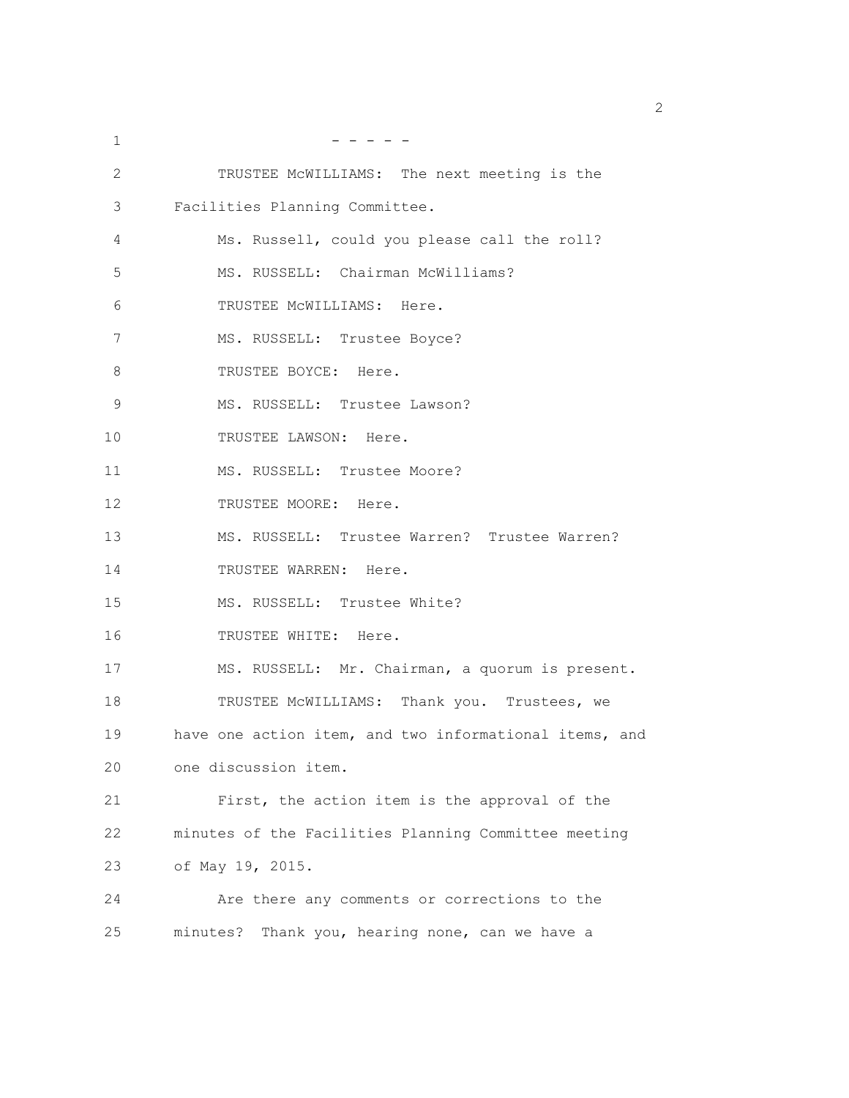| 1  |                                                        |
|----|--------------------------------------------------------|
| 2  | TRUSTEE MCWILLIAMS: The next meeting is the            |
| 3  | Facilities Planning Committee.                         |
| 4  | Ms. Russell, could you please call the roll?           |
| 5  | MS. RUSSELL: Chairman McWilliams?                      |
| 6  | TRUSTEE MCWILLIAMS: Here.                              |
| 7  | MS. RUSSELL: Trustee Boyce?                            |
| 8  | TRUSTEE BOYCE: Here.                                   |
| 9  | MS. RUSSELL: Trustee Lawson?                           |
| 10 | TRUSTEE LAWSON: Here.                                  |
| 11 | MS. RUSSELL: Trustee Moore?                            |
| 12 | TRUSTEE MOORE: Here.                                   |
| 13 | MS. RUSSELL: Trustee Warren? Trustee Warren?           |
| 14 | TRUSTEE WARREN: Here.                                  |
| 15 | MS. RUSSELL: Trustee White?                            |
| 16 | TRUSTEE WHITE: Here.                                   |
| 17 | MS. RUSSELL: Mr. Chairman, a quorum is present.        |
| 18 | TRUSTEE MCWILLIAMS: Thank you. Trustees, we            |
| 19 | have one action item, and two informational items, and |
| 20 | one discussion item.                                   |
| 21 | First, the action item is the approval of the          |
| 22 | minutes of the Facilities Planning Committee meeting   |
| 23 | of May 19, 2015.                                       |
| 24 | Are there any comments or corrections to the           |
| 25 | minutes? Thank you, hearing none, can we have a        |

 $\sim$  2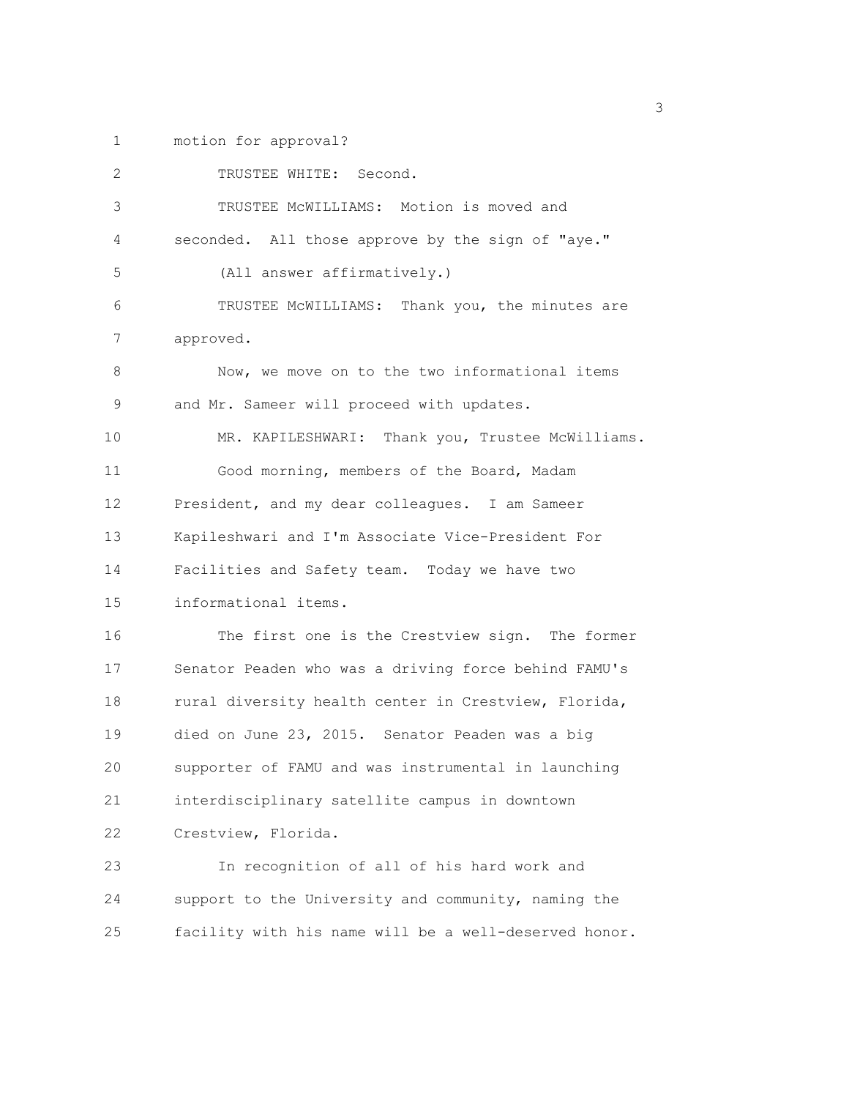1 motion for approval?

| 2                 | TRUSTEE WHITE: Second.                                |
|-------------------|-------------------------------------------------------|
| 3                 | TRUSTEE MCWILLIAMS: Motion is moved and               |
| 4                 | seconded. All those approve by the sign of "aye."     |
| 5                 | (All answer affirmatively.)                           |
| 6                 | TRUSTEE MCWILLIAMS: Thank you, the minutes are        |
| 7                 | approved.                                             |
| 8                 | Now, we move on to the two informational items        |
| 9                 | and Mr. Sameer will proceed with updates.             |
| 10                | MR. KAPILESHWARI: Thank you, Trustee McWilliams.      |
| 11                | Good morning, members of the Board, Madam             |
| $12 \overline{ }$ | President, and my dear colleagues. I am Sameer        |
| 13                | Kapileshwari and I'm Associate Vice-President For     |
| 14                | Facilities and Safety team. Today we have two         |
| 15                | informational items.                                  |
| 16                | The first one is the Crestview sign. The former       |
| 17                | Senator Peaden who was a driving force behind FAMU's  |
| 18                | rural diversity health center in Crestview, Florida,  |
| 19                | died on June 23, 2015. Senator Peaden was a big       |
| 20                | supporter of FAMU and was instrumental in launching   |
| 21                | interdisciplinary satellite campus in downtown        |
| 22                | Crestview, Florida.                                   |
| 23                | In recognition of all of his hard work and            |
| 24                | support to the University and community, naming the   |
| 25                | facility with his name will be a well-deserved honor. |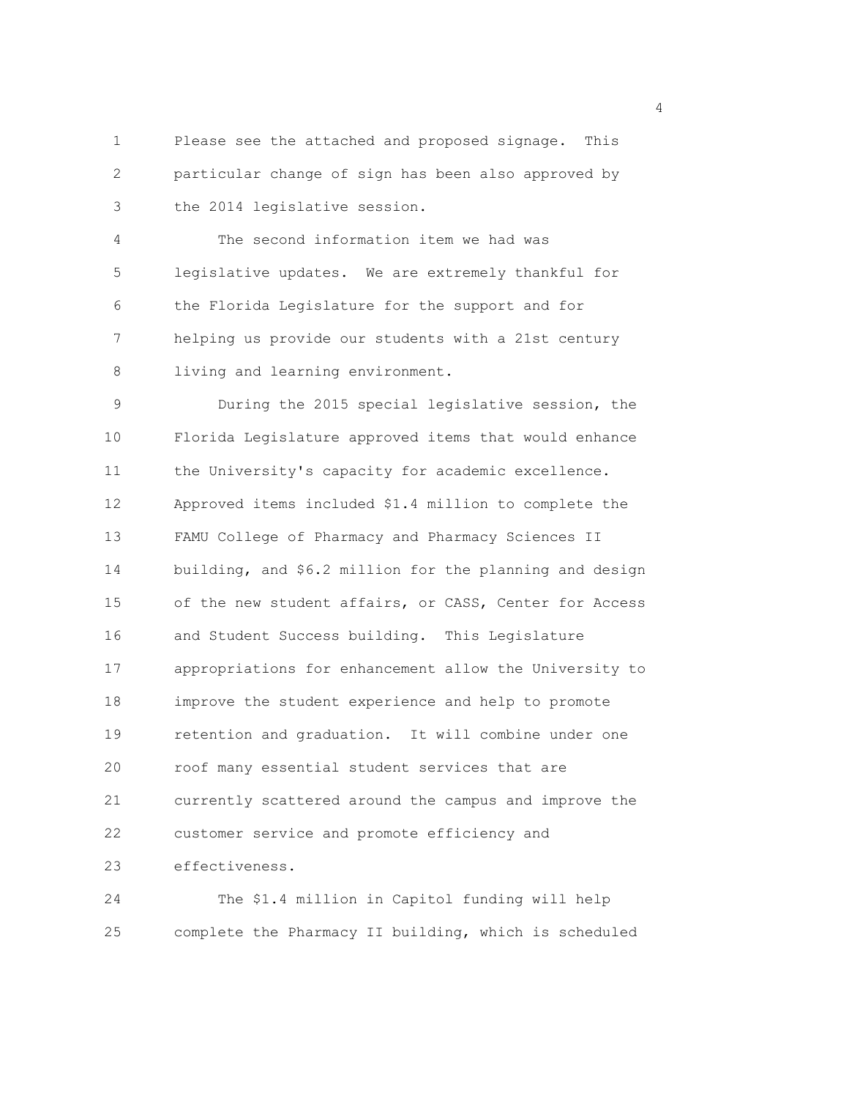1 Please see the attached and proposed signage. This 2 particular change of sign has been also approved by 3 the 2014 legislative session.

4 The second information item we had was 5 legislative updates. We are extremely thankful for 6 the Florida Legislature for the support and for 7 helping us provide our students with a 21st century 8 living and learning environment.

9 During the 2015 special legislative session, the 10 Florida Legislature approved items that would enhance 11 the University's capacity for academic excellence. 12 Approved items included \$1.4 million to complete the 13 FAMU College of Pharmacy and Pharmacy Sciences II 14 building, and \$6.2 million for the planning and design 15 of the new student affairs, or CASS, Center for Access 16 and Student Success building. This Legislature 17 appropriations for enhancement allow the University to 18 improve the student experience and help to promote 19 retention and graduation. It will combine under one 20 roof many essential student services that are 21 currently scattered around the campus and improve the 22 customer service and promote efficiency and 23 effectiveness.

24 The \$1.4 million in Capitol funding will help 25 complete the Pharmacy II building, which is scheduled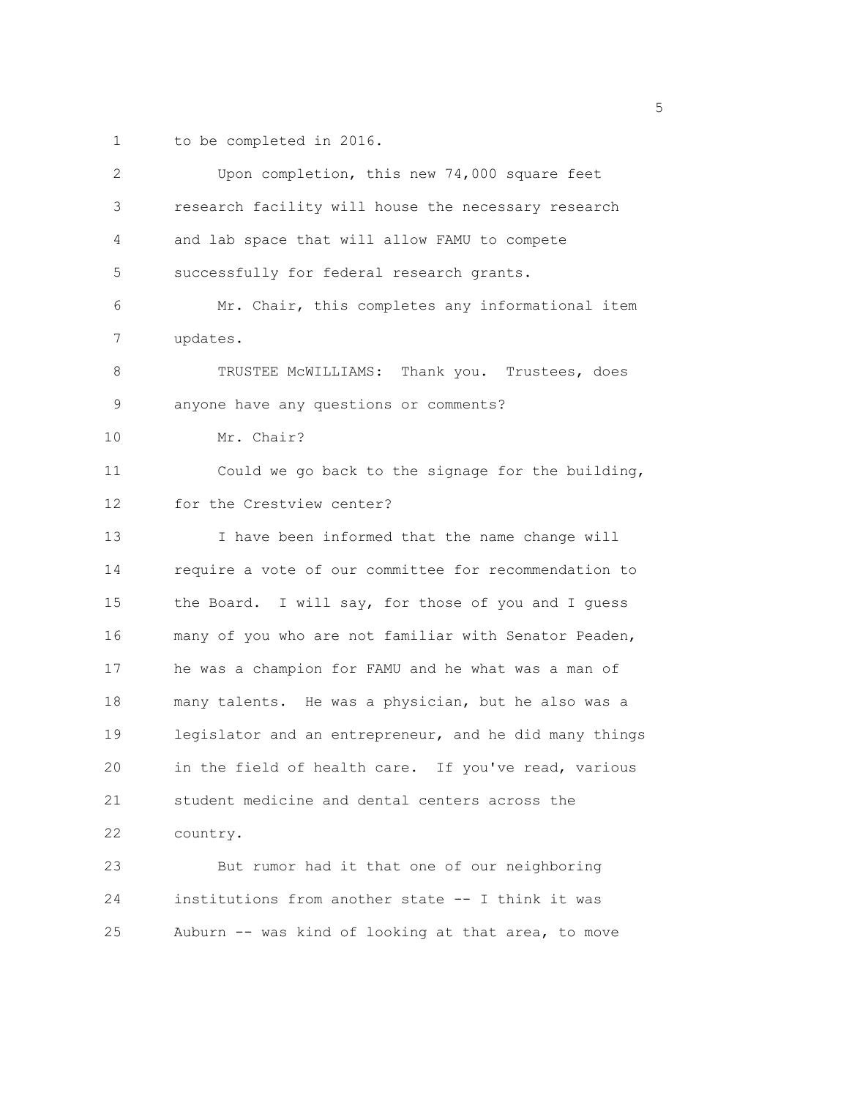1 to be completed in 2016.

| $\overline{2}$ | Upon completion, this new 74,000 square feet           |
|----------------|--------------------------------------------------------|
| 3              | research facility will house the necessary research    |
| 4              | and lab space that will allow FAMU to compete          |
| 5              | successfully for federal research grants.              |
| 6              | Mr. Chair, this completes any informational item       |
| 7              | updates.                                               |
| 8              | TRUSTEE MCWILLIAMS: Thank you. Trustees, does          |
| 9              | anyone have any questions or comments?                 |
| 10             | Mr. Chair?                                             |
| 11             | Could we go back to the signage for the building,      |
| 12             | for the Crestview center?                              |
| 13             | I have been informed that the name change will         |
| 14             | require a vote of our committee for recommendation to  |
| 15             | the Board. I will say, for those of you and I guess    |
| 16             | many of you who are not familiar with Senator Peaden,  |
| 17             | he was a champion for FAMU and he what was a man of    |
| 18             | many talents. He was a physician, but he also was a    |
| 19             | legislator and an entrepreneur, and he did many things |
| 20             | in the field of health care. If you've read, various   |
| 21             | student medicine and dental centers across the         |
| 22             | country.                                               |
| 23             | But rumor had it that one of our neighboring           |
| 24             | institutions from another state -- I think it was      |
| 25             | Auburn -- was kind of looking at that area, to move    |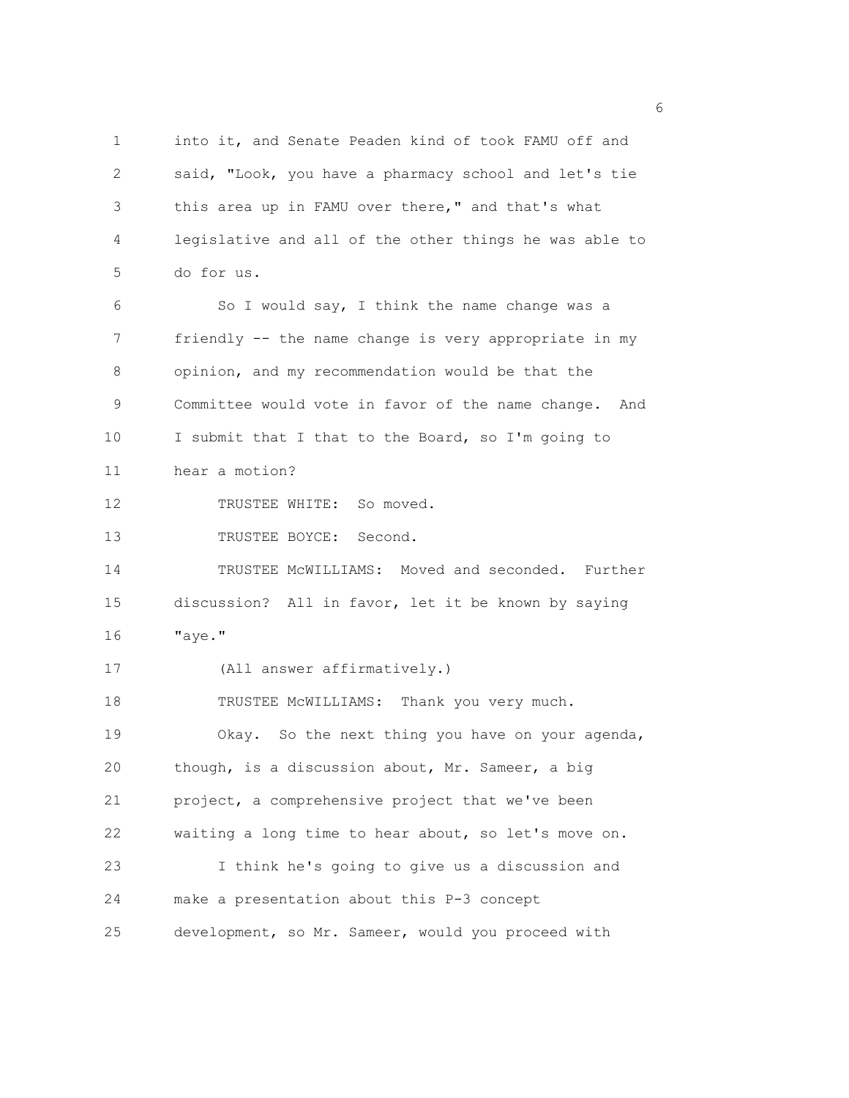1 into it, and Senate Peaden kind of took FAMU off and 2 said, "Look, you have a pharmacy school and let's tie 3 this area up in FAMU over there," and that's what 4 legislative and all of the other things he was able to 5 do for us. 6 So I would say, I think the name change was a 7 friendly -- the name change is very appropriate in my 8 opinion, and my recommendation would be that the 9 Committee would vote in favor of the name change. And 10 I submit that I that to the Board, so I'm going to 11 hear a motion? 12 TRUSTEE WHITE: So moved. 13 TRUSTEE BOYCE: Second. 14 TRUSTEE McWILLIAMS: Moved and seconded. Further 15 discussion? All in favor, let it be known by saying 16 "aye." 17 (All answer affirmatively.) 18 TRUSTEE MCWILLIAMS: Thank you very much. 19 Okay. So the next thing you have on your agenda, 20 though, is a discussion about, Mr. Sameer, a big 21 project, a comprehensive project that we've been 22 waiting a long time to hear about, so let's move on. 23 I think he's going to give us a discussion and 24 make a presentation about this P-3 concept 25 development, so Mr. Sameer, would you proceed with

<u>6</u> and the contract of the contract of the contract of the contract of the contract of the contract of the contract of the contract of the contract of the contract of the contract of the contract of the contract of the co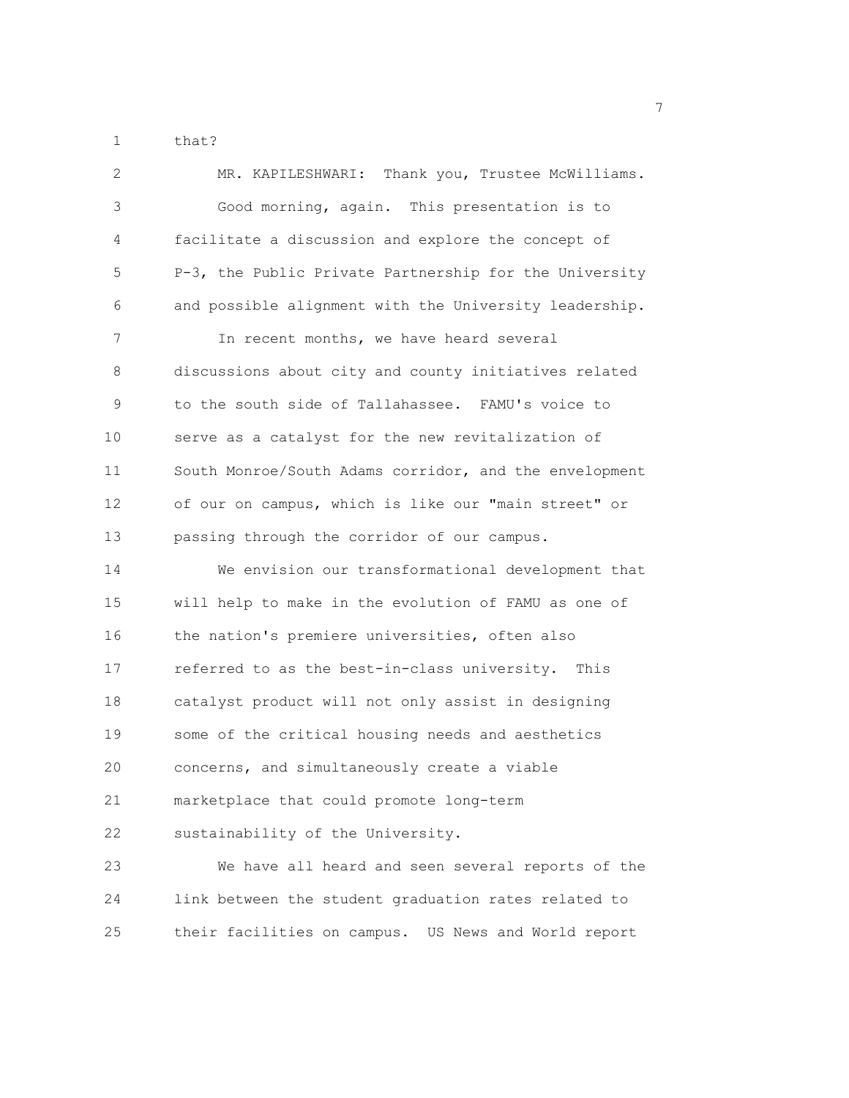1 that?

| $\mathbf{2}$ | MR. KAPILESHWARI: Thank you, Trustee McWilliams.       |
|--------------|--------------------------------------------------------|
| 3            | Good morning, again. This presentation is to           |
| 4            | facilitate a discussion and explore the concept of     |
| 5            | P-3, the Public Private Partnership for the University |
| 6            | and possible alignment with the University leadership. |
| 7            | In recent months, we have heard several                |
| 8            | discussions about city and county initiatives related  |
| 9            | to the south side of Tallahassee. FAMU's voice to      |
| 10           | serve as a catalyst for the new revitalization of      |
| 11           | South Monroe/South Adams corridor, and the envelopment |
| 12           | of our on campus, which is like our "main street" or   |
| 13           | passing through the corridor of our campus.            |
| 14           | We envision our transformational development that      |
| 15           | will help to make in the evolution of FAMU as one of   |
| 16           | the nation's premiere universities, often also         |
| 17           | referred to as the best-in-class university. This      |
| 18           | catalyst product will not only assist in designing     |
| 19           | some of the critical housing needs and aesthetics      |
| 20           | concerns, and simultaneously create a viable           |
| 21           | marketplace that could promote long-term               |
| 22           | sustainability of the University.                      |
| 23           | We have all heard and seen several reports of the      |
| 24           | link between the student graduation rates related to   |
| 25           | their facilities on campus. US News and World report   |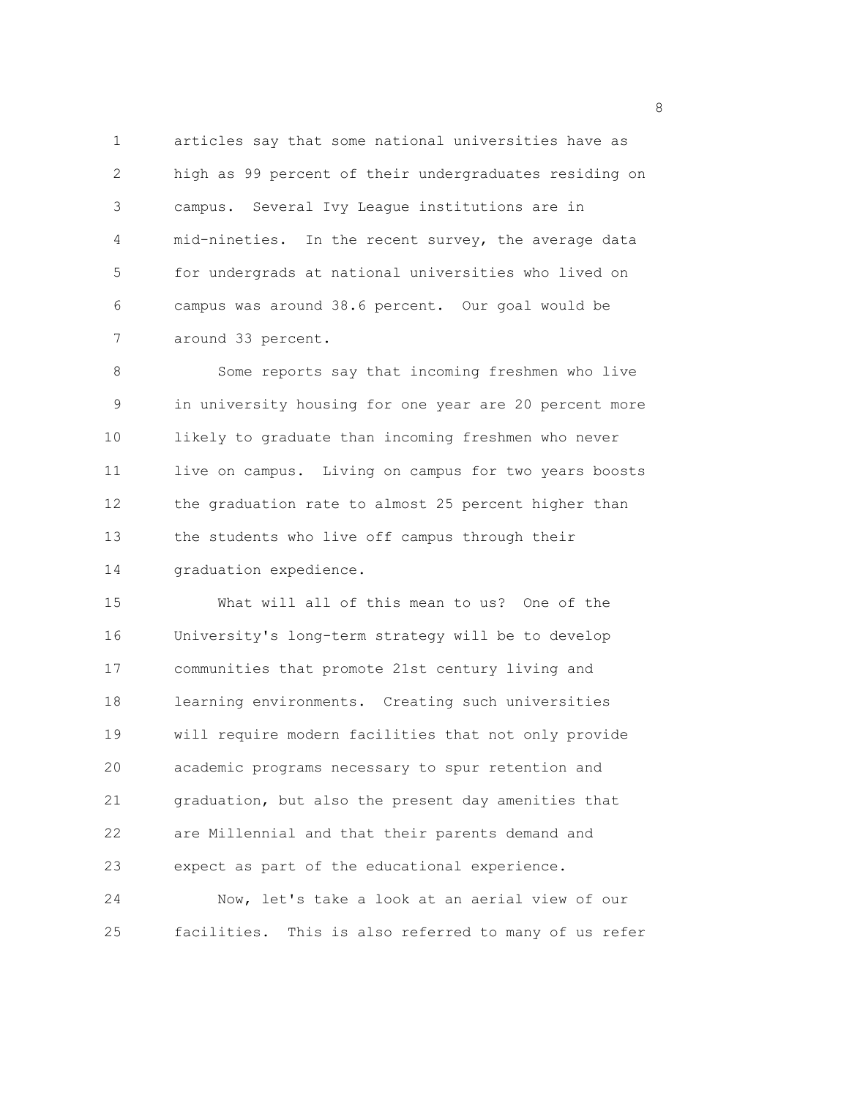1 articles say that some national universities have as 2 high as 99 percent of their undergraduates residing on 3 campus. Several Ivy League institutions are in 4 mid-nineties. In the recent survey, the average data 5 for undergrads at national universities who lived on 6 campus was around 38.6 percent. Our goal would be 7 around 33 percent.

8 Some reports say that incoming freshmen who live 9 in university housing for one year are 20 percent more 10 likely to graduate than incoming freshmen who never 11 live on campus. Living on campus for two years boosts 12 the graduation rate to almost 25 percent higher than 13 the students who live off campus through their 14 graduation expedience.

15 What will all of this mean to us? One of the 16 University's long-term strategy will be to develop 17 communities that promote 21st century living and 18 learning environments. Creating such universities 19 will require modern facilities that not only provide 20 academic programs necessary to spur retention and 21 graduation, but also the present day amenities that 22 are Millennial and that their parents demand and 23 expect as part of the educational experience. 24 Now, let's take a look at an aerial view of our 25 facilities. This is also referred to many of us refer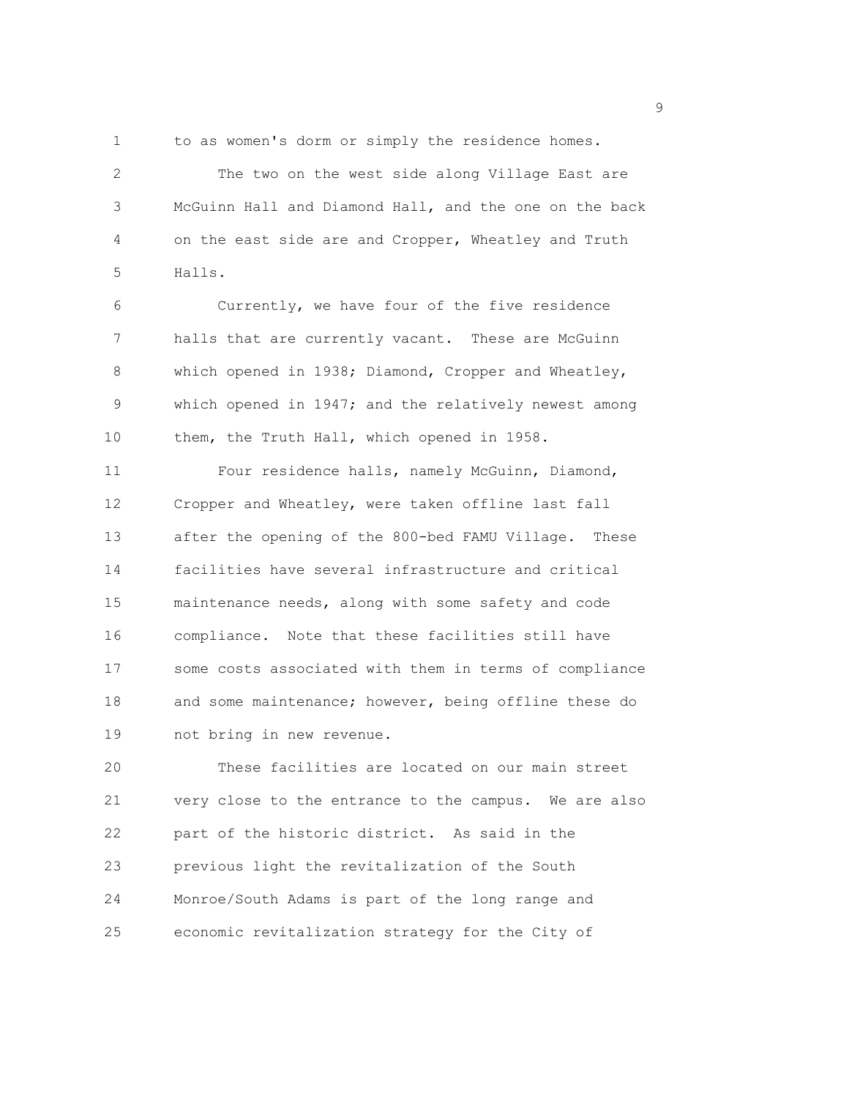1 to as women's dorm or simply the residence homes.

2 The two on the west side along Village East are 3 McGuinn Hall and Diamond Hall, and the one on the back 4 on the east side are and Cropper, Wheatley and Truth 5 Halls.

6 Currently, we have four of the five residence 7 halls that are currently vacant. These are McGuinn 8 which opened in 1938; Diamond, Cropper and Wheatley, 9 which opened in 1947; and the relatively newest among 10 them, the Truth Hall, which opened in 1958.

11 Four residence halls, namely McGuinn, Diamond, 12 Cropper and Wheatley, were taken offline last fall 13 after the opening of the 800-bed FAMU Village. These 14 facilities have several infrastructure and critical 15 maintenance needs, along with some safety and code 16 compliance. Note that these facilities still have 17 some costs associated with them in terms of compliance 18 and some maintenance; however, being offline these do 19 not bring in new revenue.

20 These facilities are located on our main street 21 very close to the entrance to the campus. We are also 22 part of the historic district. As said in the 23 previous light the revitalization of the South 24 Monroe/South Adams is part of the long range and 25 economic revitalization strategy for the City of

en de la provincia de la provincia de la provincia de la provincia de la provincia de la provincia de la provi<br>1900 : la provincia de la provincia de la provincia de la provincia de la provincia de la provincia de la prov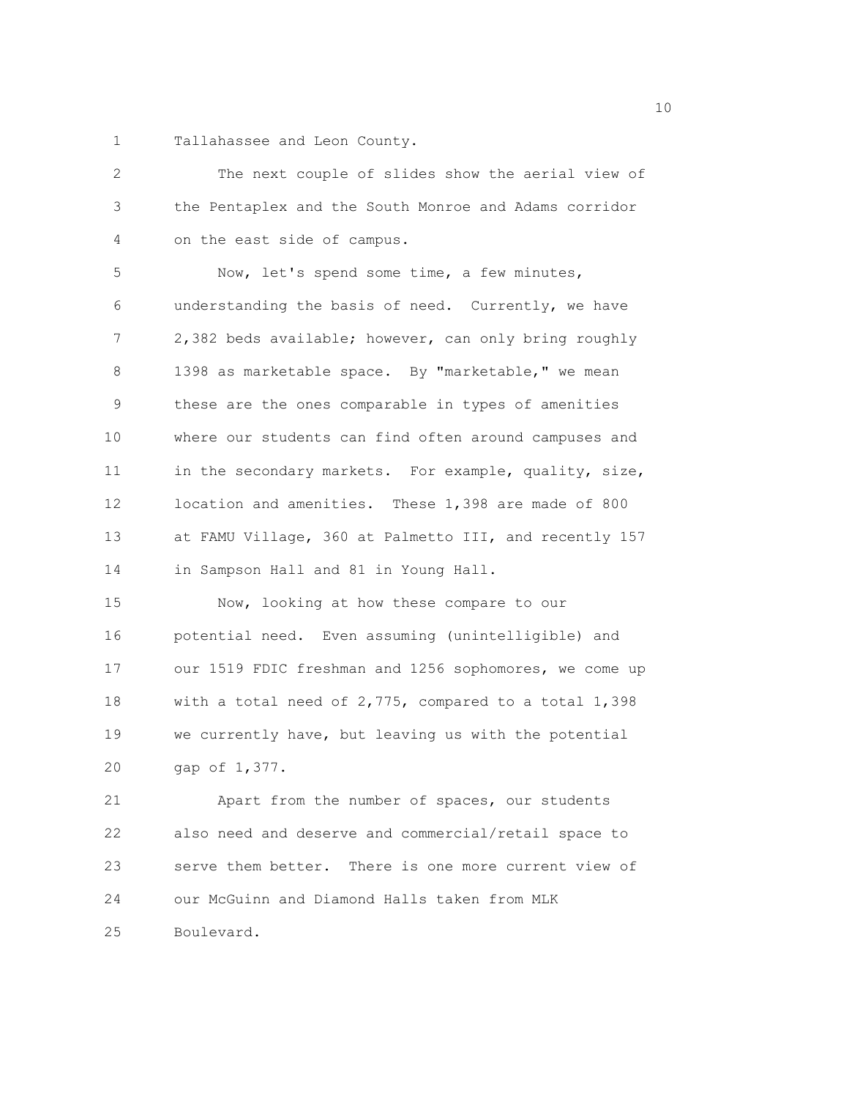1 Tallahassee and Leon County.

| 2           | The next couple of slides show the aerial view of      |
|-------------|--------------------------------------------------------|
| 3           | the Pentaplex and the South Monroe and Adams corridor  |
| 4           | on the east side of campus.                            |
| 5           | Now, let's spend some time, a few minutes,             |
| 6           | understanding the basis of need. Currently, we have    |
| 7           | 2,382 beds available; however, can only bring roughly  |
| 8           | 1398 as marketable space. By "marketable," we mean     |
| $\mathsf 9$ | these are the ones comparable in types of amenities    |
| 10          | where our students can find often around campuses and  |
| 11          | in the secondary markets. For example, quality, size,  |
| 12          | location and amenities. These 1,398 are made of 800    |
| 13          | at FAMU Village, 360 at Palmetto III, and recently 157 |
| 14          | in Sampson Hall and 81 in Young Hall.                  |
| 15          | Now, looking at how these compare to our               |
| 16          | potential need. Even assuming (unintelligible) and     |
| 17          | our 1519 FDIC freshman and 1256 sophomores, we come up |
| 18          | with a total need of 2,775, compared to a total 1,398  |
| 19          | we currently have, but leaving us with the potential   |
| 20          | gap of 1,377.                                          |
| 21          | Apart from the number of spaces, our students          |
| 22          | also need and deserve and commercial/retail space to   |
| 23          | serve them better. There is one more current view of   |
| 24          | our McGuinn and Diamond Halls taken from MLK           |
| 25          | Boulevard.                                             |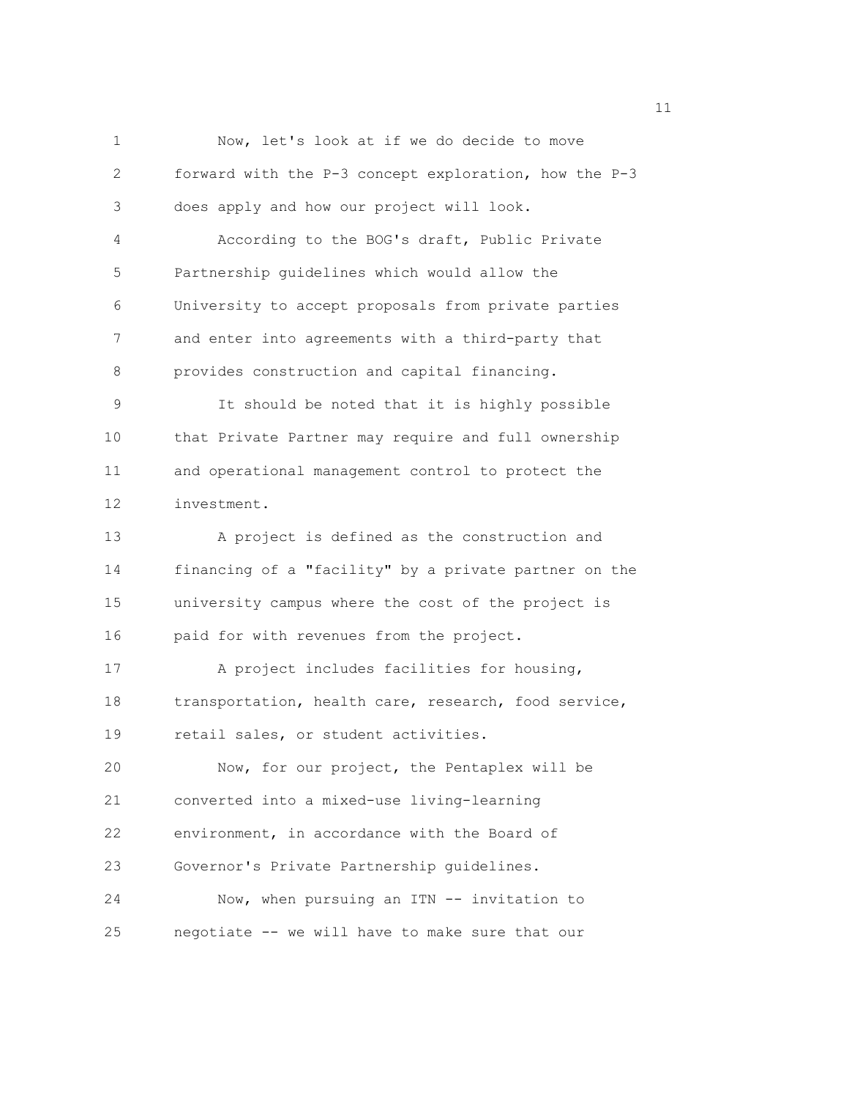1 Now, let's look at if we do decide to move 2 forward with the P-3 concept exploration, how the P-3 3 does apply and how our project will look. 4 According to the BOG's draft, Public Private 5 Partnership guidelines which would allow the 6 University to accept proposals from private parties 7 and enter into agreements with a third-party that 8 provides construction and capital financing. 9 It should be noted that it is highly possible 10 that Private Partner may require and full ownership 11 and operational management control to protect the 12 investment. 13 A project is defined as the construction and 14 financing of a "facility" by a private partner on the 15 university campus where the cost of the project is 16 paid for with revenues from the project. 17 A project includes facilities for housing, 18 transportation, health care, research, food service, 19 retail sales, or student activities. 20 Now, for our project, the Pentaplex will be 21 converted into a mixed-use living-learning 22 environment, in accordance with the Board of 23 Governor's Private Partnership guidelines. 24 Now, when pursuing an ITN -- invitation to 25 negotiate -- we will have to make sure that our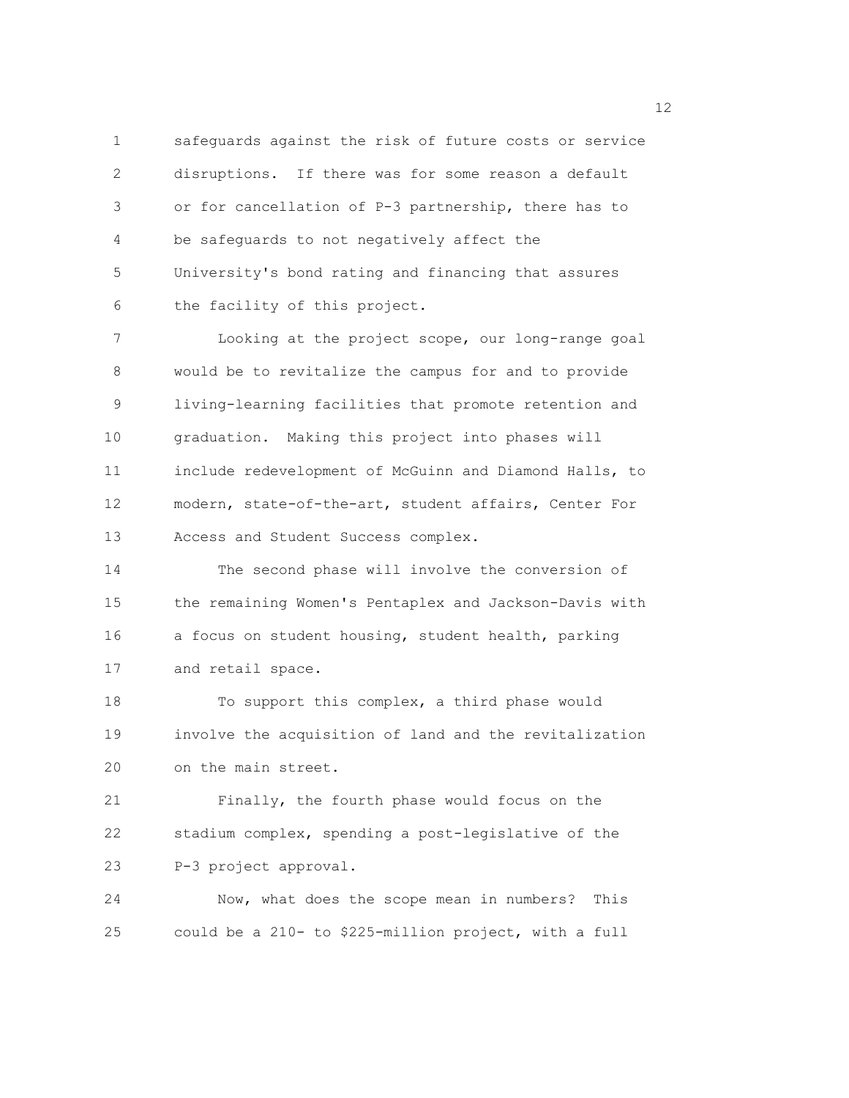1 safeguards against the risk of future costs or service 2 disruptions. If there was for some reason a default 3 or for cancellation of P-3 partnership, there has to 4 be safeguards to not negatively affect the 5 University's bond rating and financing that assures 6 the facility of this project.

7 Looking at the project scope, our long-range goal 8 would be to revitalize the campus for and to provide 9 living-learning facilities that promote retention and 10 graduation. Making this project into phases will 11 include redevelopment of McGuinn and Diamond Halls, to 12 modern, state-of-the-art, student affairs, Center For 13 Access and Student Success complex.

14 The second phase will involve the conversion of 15 the remaining Women's Pentaplex and Jackson-Davis with 16 a focus on student housing, student health, parking 17 and retail space.

18 To support this complex, a third phase would 19 involve the acquisition of land and the revitalization 20 on the main street.

21 Finally, the fourth phase would focus on the 22 stadium complex, spending a post-legislative of the 23 P-3 project approval.

24 Now, what does the scope mean in numbers? This 25 could be a 210- to \$225-million project, with a full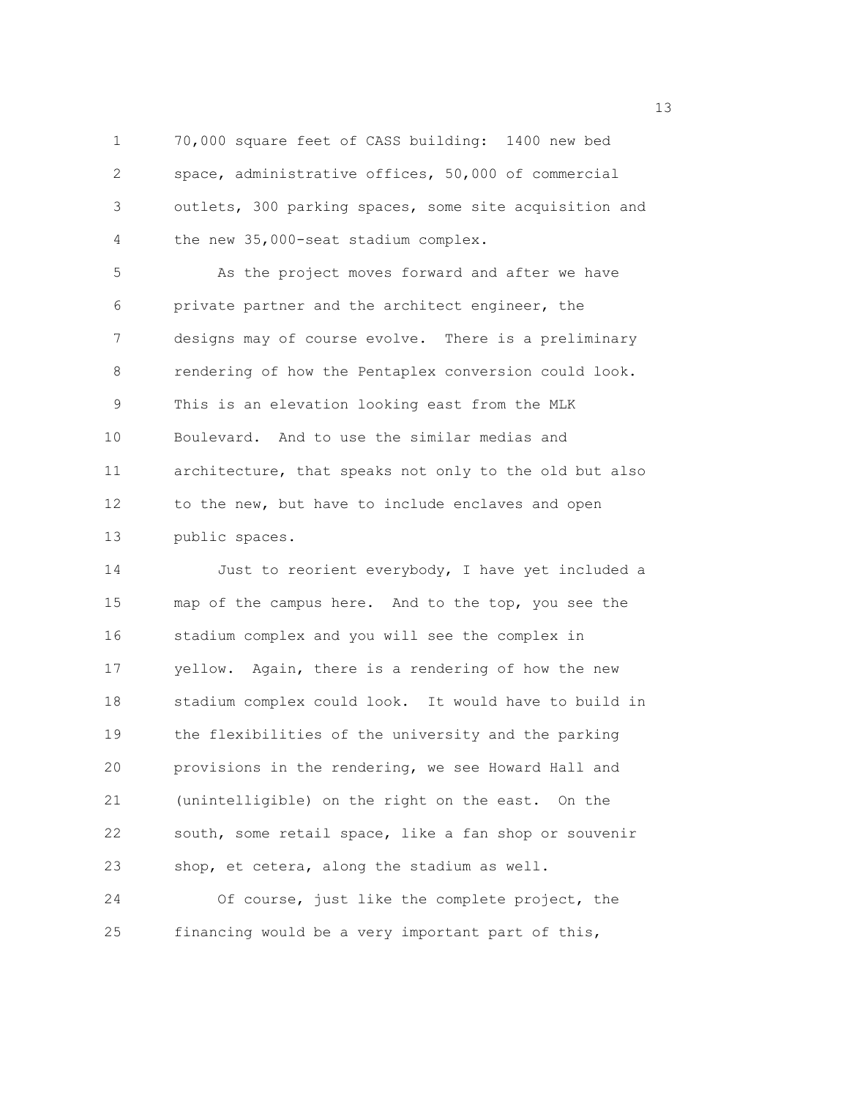1 70,000 square feet of CASS building: 1400 new bed 2 space, administrative offices, 50,000 of commercial 3 outlets, 300 parking spaces, some site acquisition and 4 the new 35,000-seat stadium complex.

5 As the project moves forward and after we have 6 private partner and the architect engineer, the 7 designs may of course evolve. There is a preliminary 8 rendering of how the Pentaplex conversion could look. 9 This is an elevation looking east from the MLK 10 Boulevard. And to use the similar medias and 11 architecture, that speaks not only to the old but also 12 to the new, but have to include enclaves and open 13 public spaces.

14 Just to reorient everybody, I have yet included a 15 map of the campus here. And to the top, you see the 16 stadium complex and you will see the complex in 17 yellow. Again, there is a rendering of how the new 18 stadium complex could look. It would have to build in 19 the flexibilities of the university and the parking 20 provisions in the rendering, we see Howard Hall and 21 (unintelligible) on the right on the east. On the 22 south, some retail space, like a fan shop or souvenir 23 shop, et cetera, along the stadium as well. 24 Of course, just like the complete project, the 25 financing would be a very important part of this,

13 and 13 and 13 and 13 and 13 and 13 and 13 and 13 and 13 and 13 and 13 and 13 and 13 and 13 and 13 and 13 and 13 and 13 and 13 and 13 and 13 and 13 and 13 and 13 and 13 and 13 and 13 and 13 and 13 and 13 and 13 and 13 an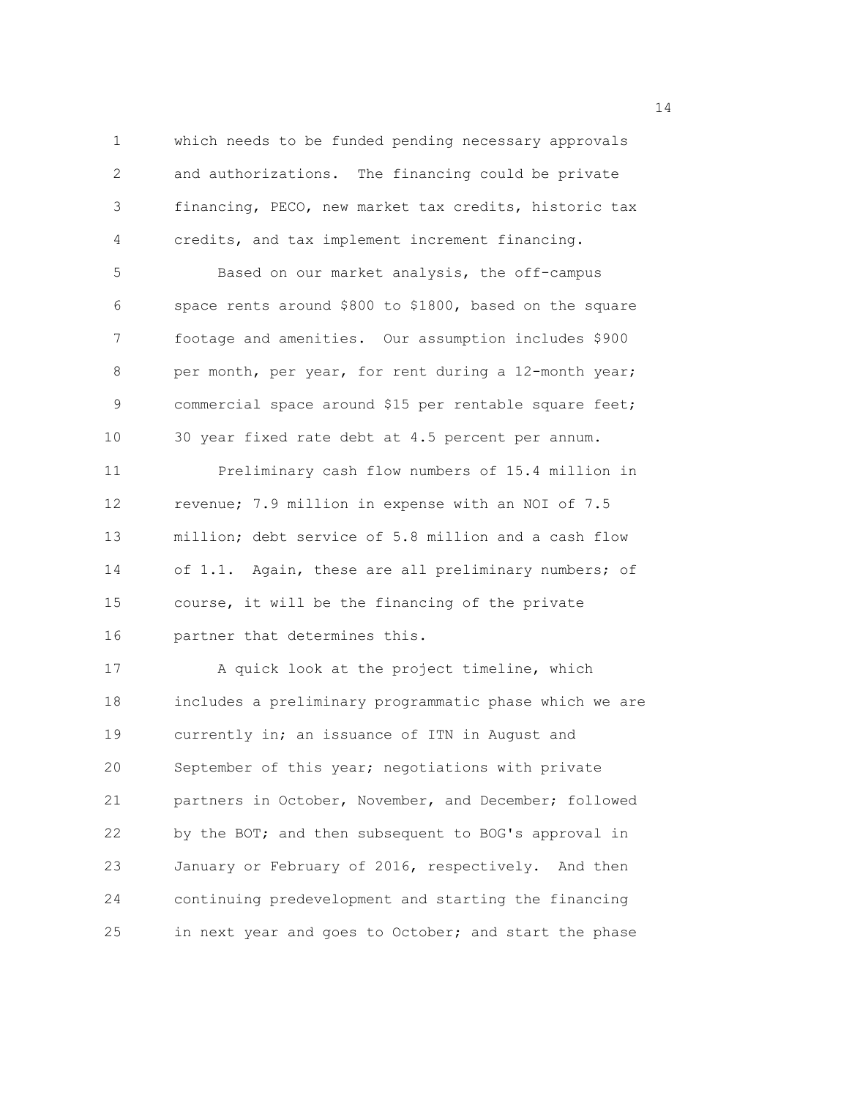1 which needs to be funded pending necessary approvals 2 and authorizations. The financing could be private 3 financing, PECO, new market tax credits, historic tax 4 credits, and tax implement increment financing. 5 Based on our market analysis, the off-campus 6 space rents around \$800 to \$1800, based on the square 7 footage and amenities. Our assumption includes \$900 8 per month, per year, for rent during a 12-month year; 9 commercial space around \$15 per rentable square feet; 10 30 year fixed rate debt at 4.5 percent per annum. 11 Preliminary cash flow numbers of 15.4 million in 12 revenue; 7.9 million in expense with an NOI of 7.5 13 million; debt service of 5.8 million and a cash flow 14 of 1.1. Again, these are all preliminary numbers; of 15 course, it will be the financing of the private 16 partner that determines this. 17 A quick look at the project timeline, which 18 includes a preliminary programmatic phase which we are 19 currently in; an issuance of ITN in August and 20 September of this year; negotiations with private 21 partners in October, November, and December; followed 22 by the BOT; and then subsequent to BOG's approval in

23 January or February of 2016, respectively. And then 24 continuing predevelopment and starting the financing 25 in next year and goes to October; and start the phase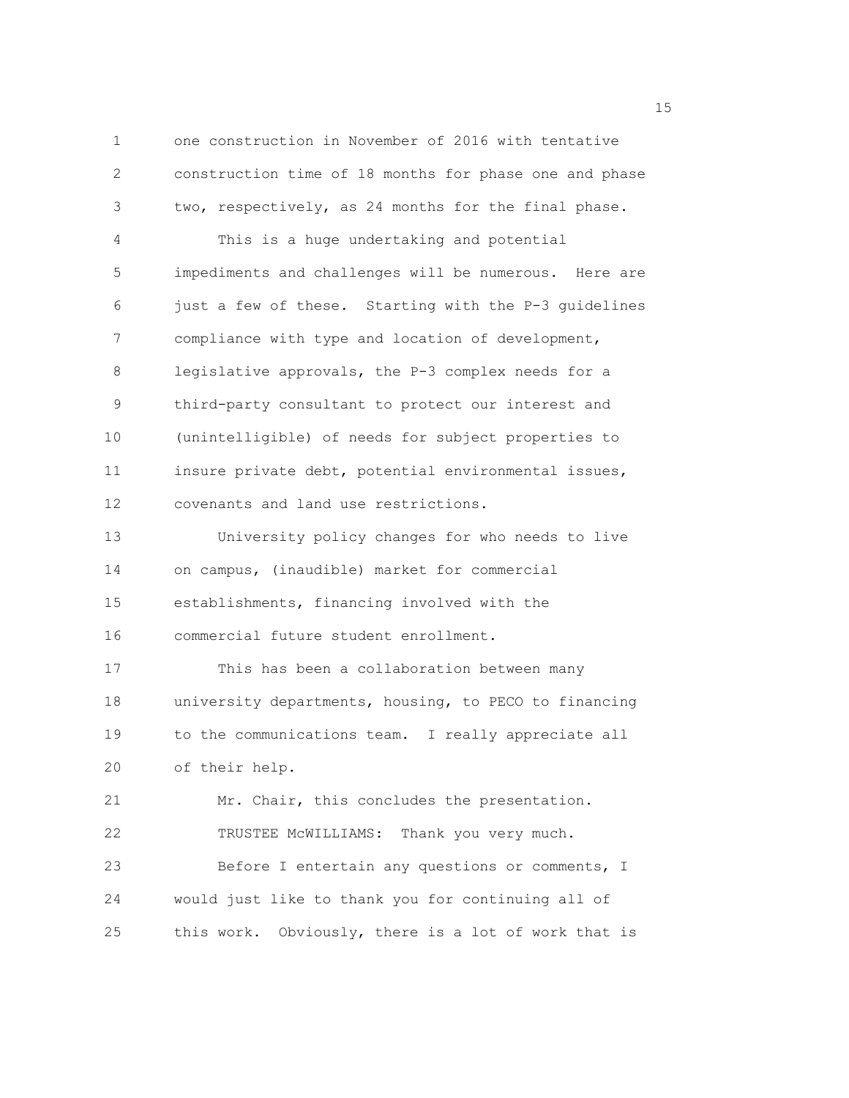1 one construction in November of 2016 with tentative 2 construction time of 18 months for phase one and phase 3 two, respectively, as 24 months for the final phase. 4 This is a huge undertaking and potential 5 impediments and challenges will be numerous. Here are 6 just a few of these. Starting with the P-3 guidelines 7 compliance with type and location of development, 8 legislative approvals, the P-3 complex needs for a 9 third-party consultant to protect our interest and 10 (unintelligible) of needs for subject properties to 11 insure private debt, potential environmental issues, 12 covenants and land use restrictions. 13 University policy changes for who needs to live 14 on campus, (inaudible) market for commercial 15 establishments, financing involved with the 16 commercial future student enrollment. 17 This has been a collaboration between many 18 university departments, housing, to PECO to financing 19 to the communications team. I really appreciate all 20 of their help. 21 Mr. Chair, this concludes the presentation. 22 TRUSTEE McWILLIAMS: Thank you very much. 23 Before I entertain any questions or comments, I 24 would just like to thank you for continuing all of 25 this work. Obviously, there is a lot of work that is

n 15 ann an 15 an t-Òire ann an 15 an t-Òire an t-Òire an t-Òire an t-Òire ann an 15 an t-Òire an t-Òire an t-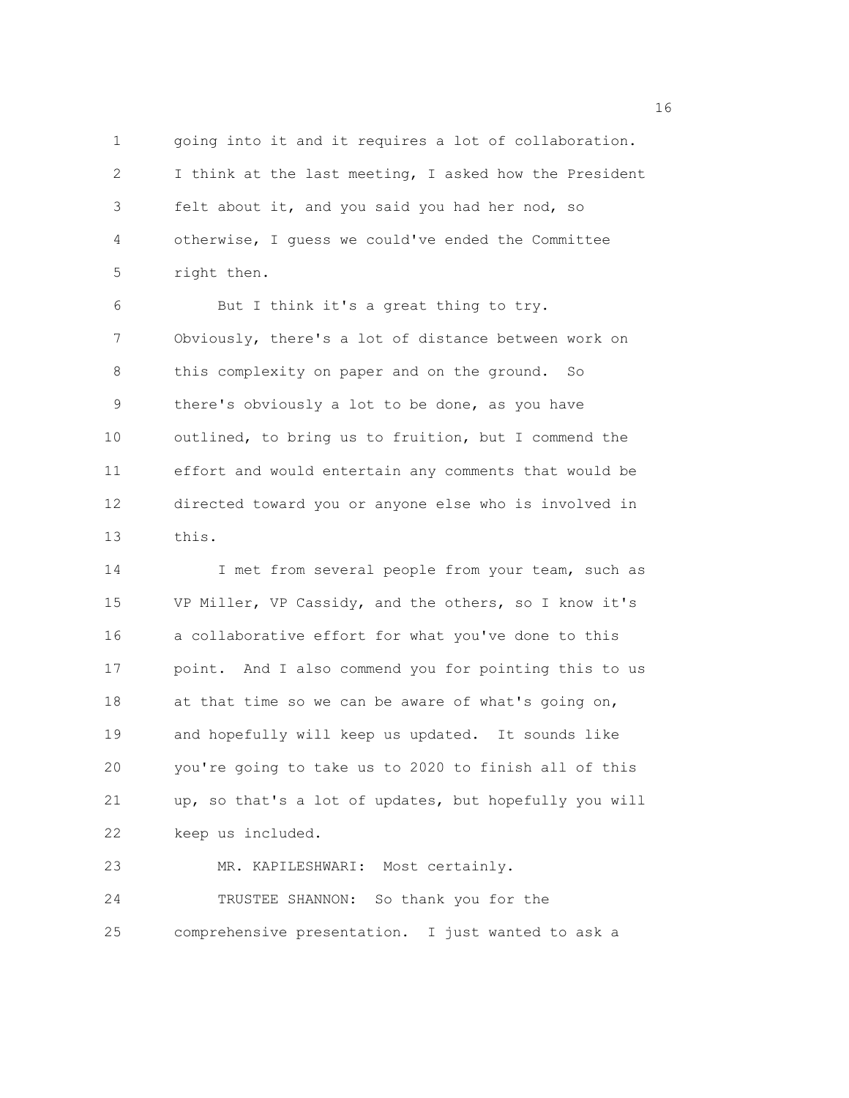1 going into it and it requires a lot of collaboration. 2 I think at the last meeting, I asked how the President 3 felt about it, and you said you had her nod, so 4 otherwise, I guess we could've ended the Committee 5 right then.

6 But I think it's a great thing to try. 7 Obviously, there's a lot of distance between work on 8 this complexity on paper and on the ground. So 9 there's obviously a lot to be done, as you have 10 outlined, to bring us to fruition, but I commend the 11 effort and would entertain any comments that would be 12 directed toward you or anyone else who is involved in 13 this.

14 I met from several people from your team, such as 15 VP Miller, VP Cassidy, and the others, so I know it's 16 a collaborative effort for what you've done to this 17 point. And I also commend you for pointing this to us 18 at that time so we can be aware of what's going on, 19 and hopefully will keep us updated. It sounds like 20 you're going to take us to 2020 to finish all of this 21 up, so that's a lot of updates, but hopefully you will 22 keep us included.

23 MR. KAPILESHWARI: Most certainly. 24 TRUSTEE SHANNON: So thank you for the 25 comprehensive presentation. I just wanted to ask a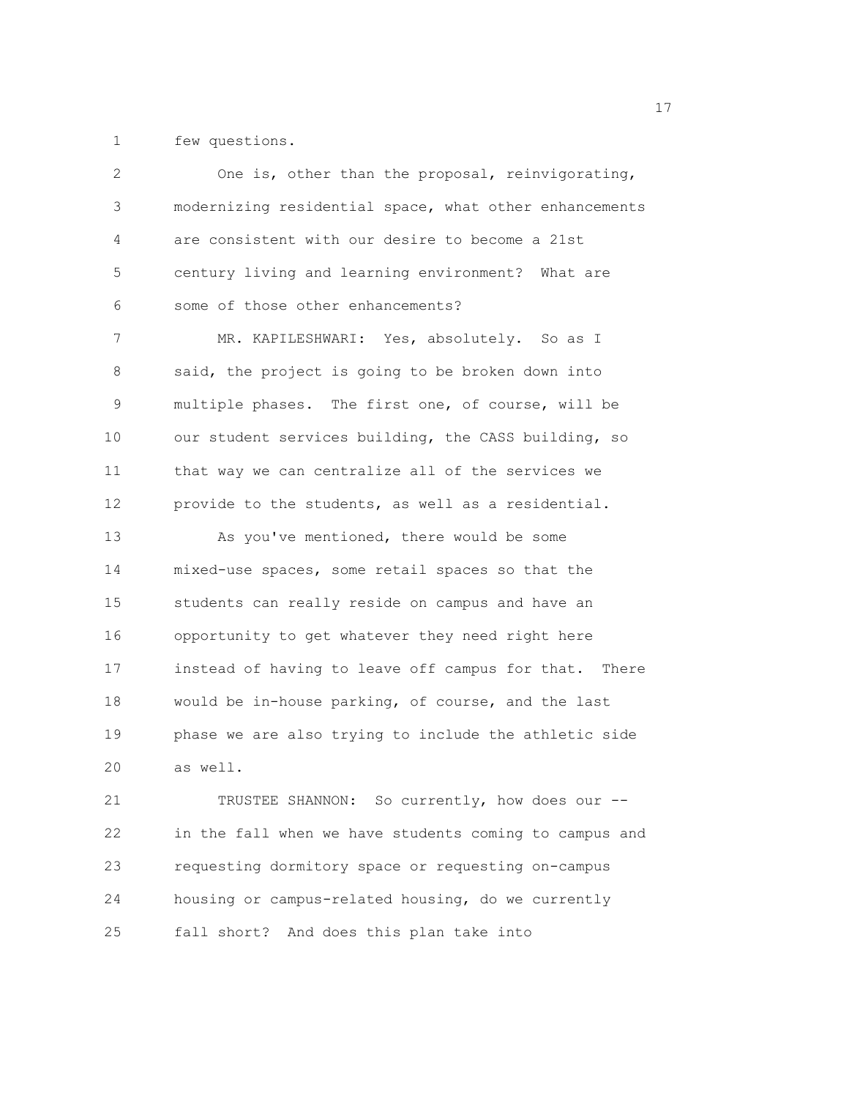1 few questions.

| 2           | One is, other than the proposal, reinvigorating,       |
|-------------|--------------------------------------------------------|
| 3           | modernizing residential space, what other enhancements |
| 4           | are consistent with our desire to become a 21st        |
| 5           | century living and learning environment? What are      |
| 6           | some of those other enhancements?                      |
| 7           | MR. KAPILESHWARI: Yes, absolutely. So as I             |
| 8           | said, the project is going to be broken down into      |
| $\mathsf 9$ | multiple phases. The first one, of course, will be     |
| 10          | our student services building, the CASS building, so   |
| 11          | that way we can centralize all of the services we      |
| 12          | provide to the students, as well as a residential.     |
| 13          | As you've mentioned, there would be some               |
| 14          | mixed-use spaces, some retail spaces so that the       |
| 15          | students can really reside on campus and have an       |
| 16          | opportunity to get whatever they need right here       |
| 17          | instead of having to leave off campus for that. There  |
| 18          | would be in-house parking, of course, and the last     |
| 19          | phase we are also trying to include the athletic side  |
| 20          | as well.                                               |
| 21          | TRUSTEE SHANNON: So currently, how does our --         |
| 22          | in the fall when we have students coming to campus and |
| 23          | requesting dormitory space or requesting on-campus     |
| 24          | housing or campus-related housing, do we currently     |
| 25          | fall short? And does this plan take into               |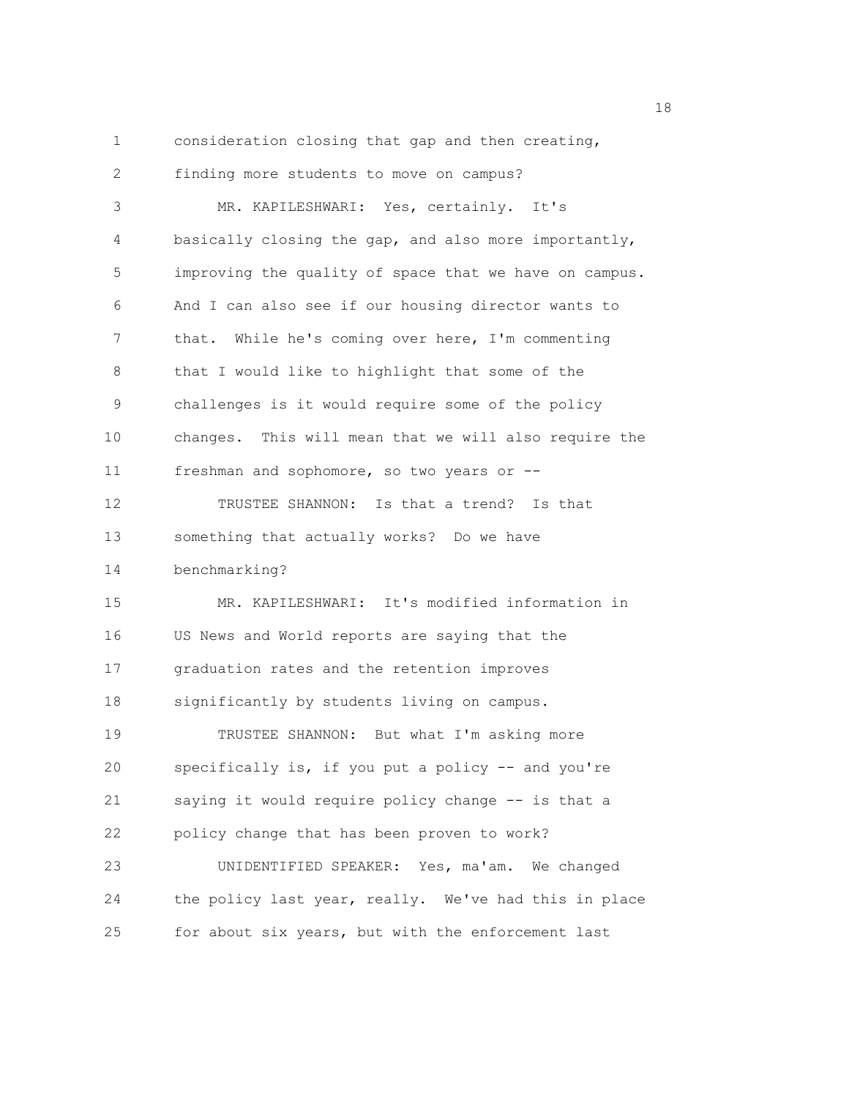1 consideration closing that gap and then creating,

2 finding more students to move on campus? 3 MR. KAPILESHWARI: Yes, certainly. It's 4 basically closing the gap, and also more importantly, 5 improving the quality of space that we have on campus. 6 And I can also see if our housing director wants to 7 that. While he's coming over here, I'm commenting 8 that I would like to highlight that some of the 9 challenges is it would require some of the policy 10 changes. This will mean that we will also require the 11 freshman and sophomore, so two years or -- 12 TRUSTEE SHANNON: Is that a trend? Is that 13 something that actually works? Do we have 14 benchmarking? 15 MR. KAPILESHWARI: It's modified information in 16 US News and World reports are saying that the 17 graduation rates and the retention improves 18 significantly by students living on campus. 19 TRUSTEE SHANNON: But what I'm asking more 20 specifically is, if you put a policy -- and you're 21 saying it would require policy change -- is that a 22 policy change that has been proven to work? 23 UNIDENTIFIED SPEAKER: Yes, ma'am. We changed 24 the policy last year, really. We've had this in place 25 for about six years, but with the enforcement last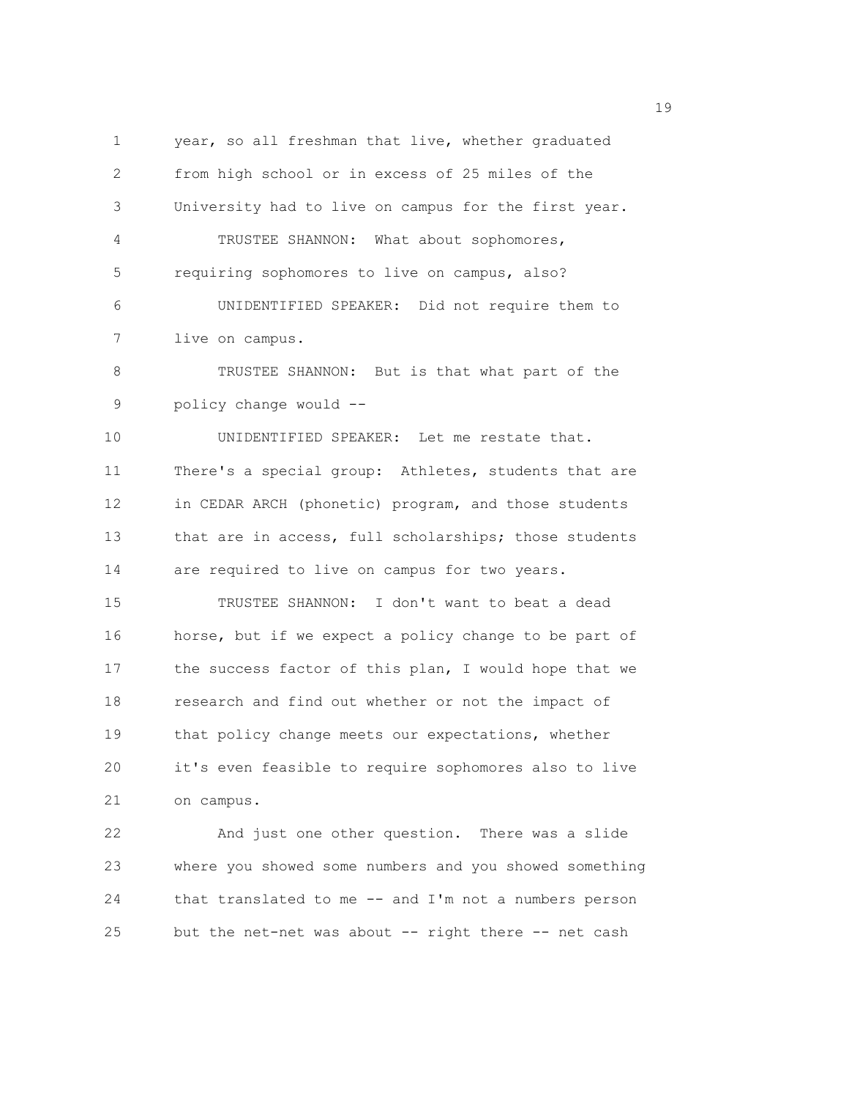1 year, so all freshman that live, whether graduated 2 from high school or in excess of 25 miles of the 3 University had to live on campus for the first year. 4 TRUSTEE SHANNON: What about sophomores, 5 requiring sophomores to live on campus, also? 6 UNIDENTIFIED SPEAKER: Did not require them to 7 live on campus. 8 TRUSTEE SHANNON: But is that what part of the 9 policy change would -- 10 UNIDENTIFIED SPEAKER: Let me restate that. 11 There's a special group: Athletes, students that are 12 in CEDAR ARCH (phonetic) program, and those students 13 that are in access, full scholarships; those students 14 are required to live on campus for two years. 15 TRUSTEE SHANNON: I don't want to beat a dead 16 horse, but if we expect a policy change to be part of 17 the success factor of this plan, I would hope that we 18 research and find out whether or not the impact of 19 that policy change meets our expectations, whether 20 it's even feasible to require sophomores also to live 21 on campus. 22 And just one other question. There was a slide 23 where you showed some numbers and you showed something

24 that translated to me -- and I'm not a numbers person

25 but the net-net was about -- right there -- net cash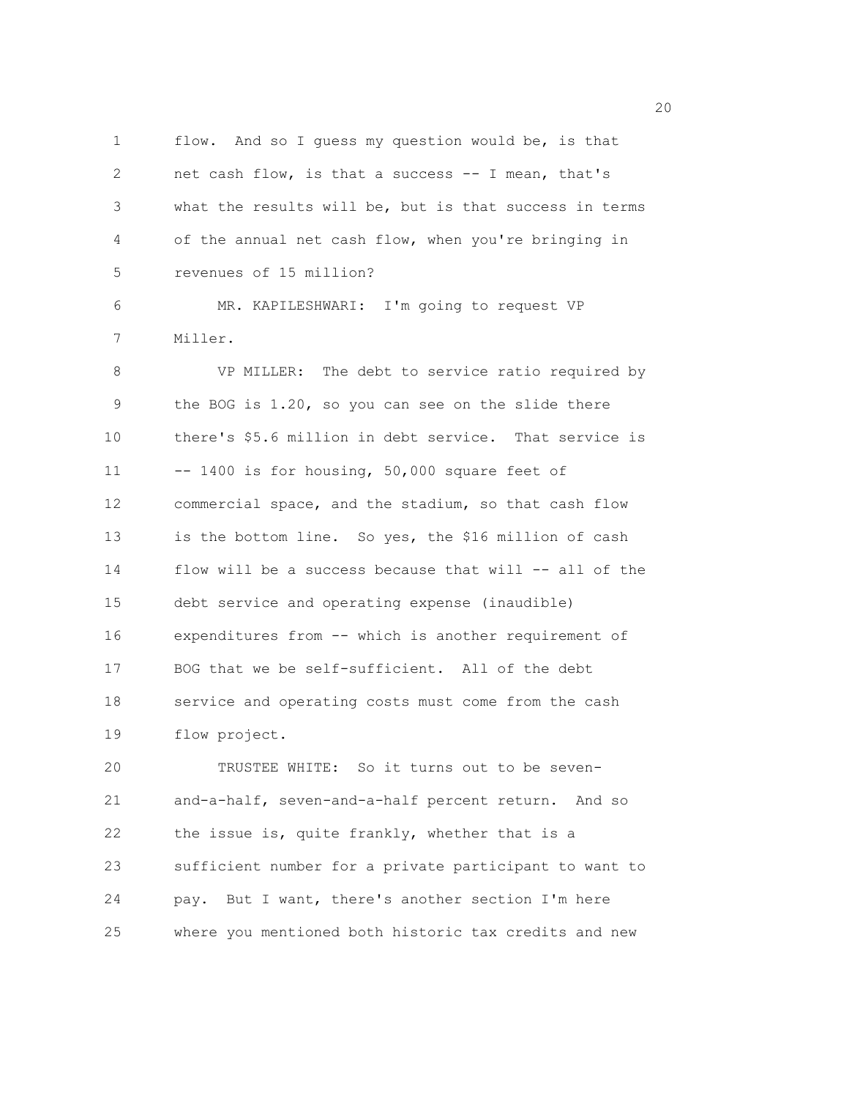1 flow. And so I guess my question would be, is that 2 net cash flow, is that a success -- I mean, that's 3 what the results will be, but is that success in terms 4 of the annual net cash flow, when you're bringing in 5 revenues of 15 million?

6 MR. KAPILESHWARI: I'm going to request VP 7 Miller.

8 VP MILLER: The debt to service ratio required by 9 the BOG is 1.20, so you can see on the slide there 10 there's \$5.6 million in debt service. That service is 11 -- 1400 is for housing, 50,000 square feet of 12 commercial space, and the stadium, so that cash flow 13 is the bottom line. So yes, the \$16 million of cash 14 flow will be a success because that will -- all of the 15 debt service and operating expense (inaudible) 16 expenditures from -- which is another requirement of 17 BOG that we be self-sufficient. All of the debt 18 service and operating costs must come from the cash 19 flow project.

20 TRUSTEE WHITE: So it turns out to be seven-21 and-a-half, seven-and-a-half percent return. And so 22 the issue is, quite frankly, whether that is a 23 sufficient number for a private participant to want to 24 pay. But I want, there's another section I'm here 25 where you mentioned both historic tax credits and new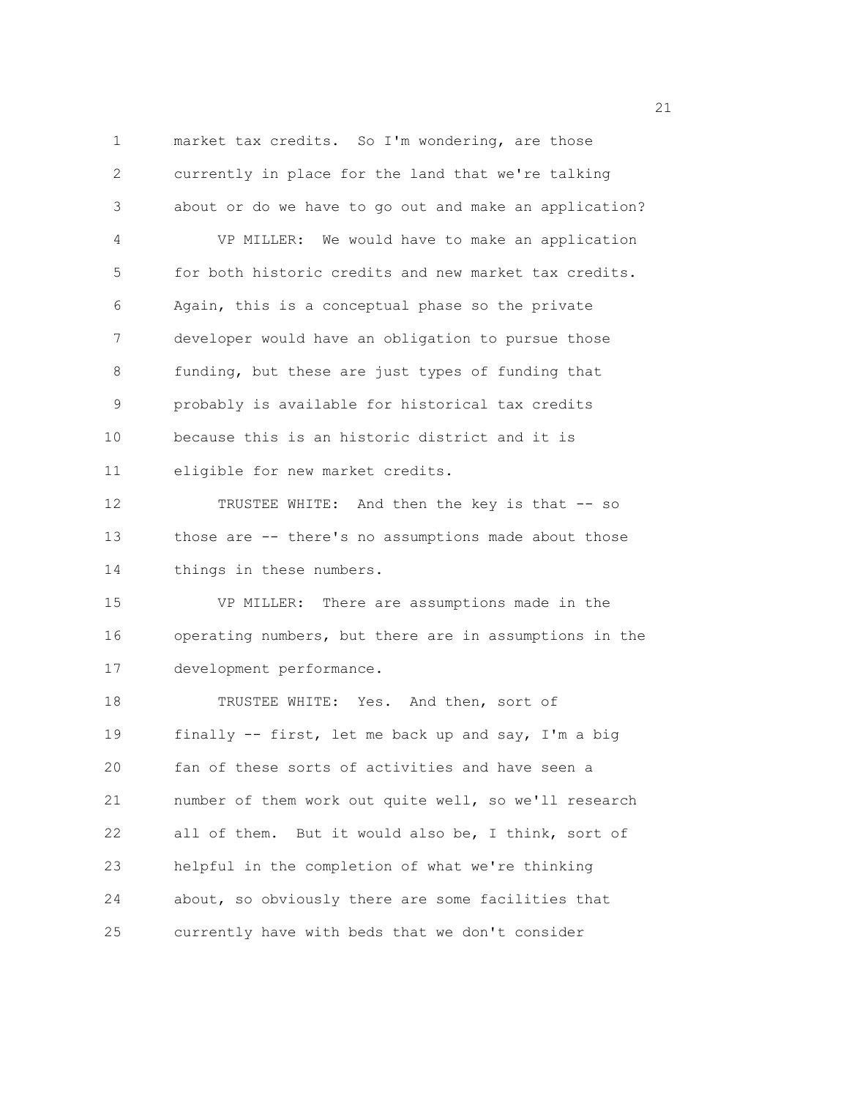1 market tax credits. So I'm wondering, are those 2 currently in place for the land that we're talking 3 about or do we have to go out and make an application? 4 VP MILLER: We would have to make an application 5 for both historic credits and new market tax credits. 6 Again, this is a conceptual phase so the private 7 developer would have an obligation to pursue those 8 funding, but these are just types of funding that 9 probably is available for historical tax credits 10 because this is an historic district and it is 11 eligible for new market credits. 12 TRUSTEE WHITE: And then the key is that -- so 13 those are -- there's no assumptions made about those 14 things in these numbers. 15 VP MILLER: There are assumptions made in the 16 operating numbers, but there are in assumptions in the 17 development performance. 18 TRUSTEE WHITE: Yes. And then, sort of 19 finally -- first, let me back up and say, I'm a big 20 fan of these sorts of activities and have seen a 21 number of them work out quite well, so we'll research 22 all of them. But it would also be, I think, sort of 23 helpful in the completion of what we're thinking 24 about, so obviously there are some facilities that 25 currently have with beds that we don't consider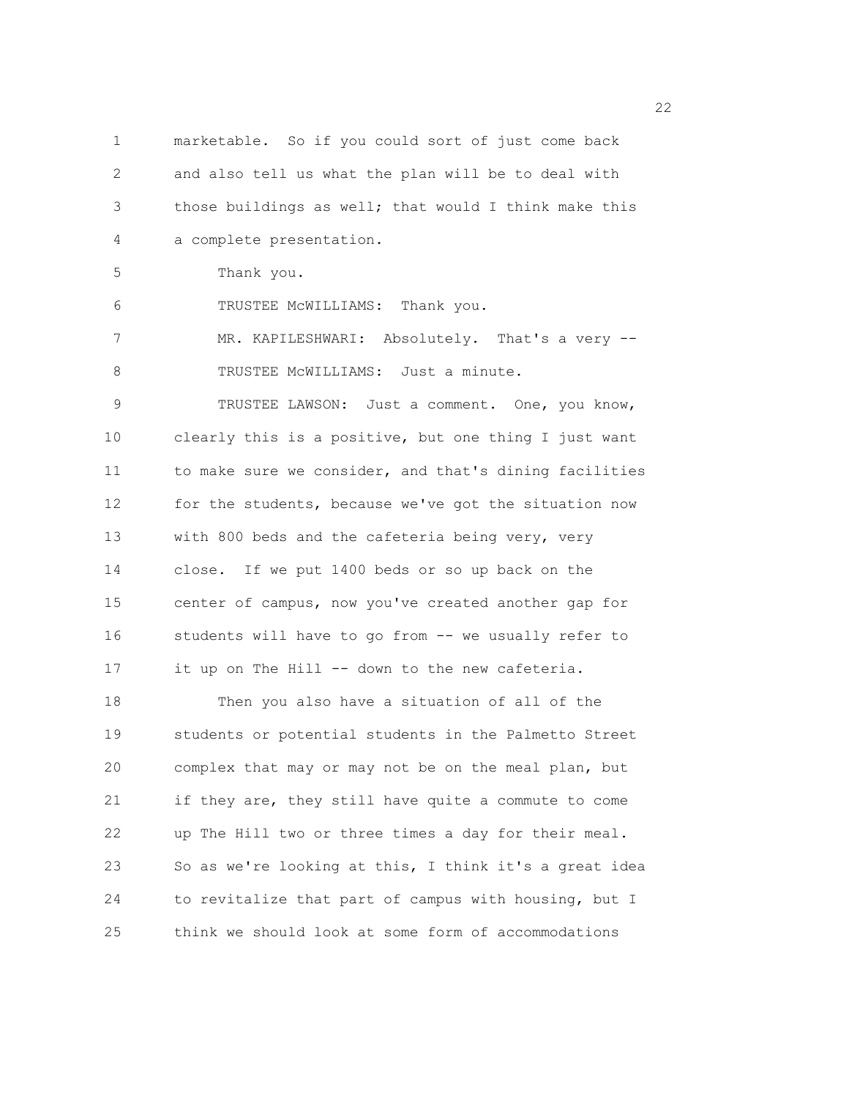1 marketable. So if you could sort of just come back 2 and also tell us what the plan will be to deal with 3 those buildings as well; that would I think make this 4 a complete presentation. 5 Thank you. 6 TRUSTEE McWILLIAMS: Thank you. 7 MR. KAPILESHWARI: Absolutely. That's a very -- 8 TRUSTEE MCWILLIAMS: Just a minute. 9 TRUSTEE LAWSON: Just a comment. One, you know, 10 clearly this is a positive, but one thing I just want 11 to make sure we consider, and that's dining facilities 12 for the students, because we've got the situation now 13 with 800 beds and the cafeteria being very, very 14 close. If we put 1400 beds or so up back on the 15 center of campus, now you've created another gap for 16 students will have to go from -- we usually refer to 17 it up on The Hill -- down to the new cafeteria. 18 Then you also have a situation of all of the 19 students or potential students in the Palmetto Street 20 complex that may or may not be on the meal plan, but 21 if they are, they still have quite a commute to come 22 up The Hill two or three times a day for their meal. 23 So as we're looking at this, I think it's a great idea 24 to revitalize that part of campus with housing, but I 25 think we should look at some form of accommodations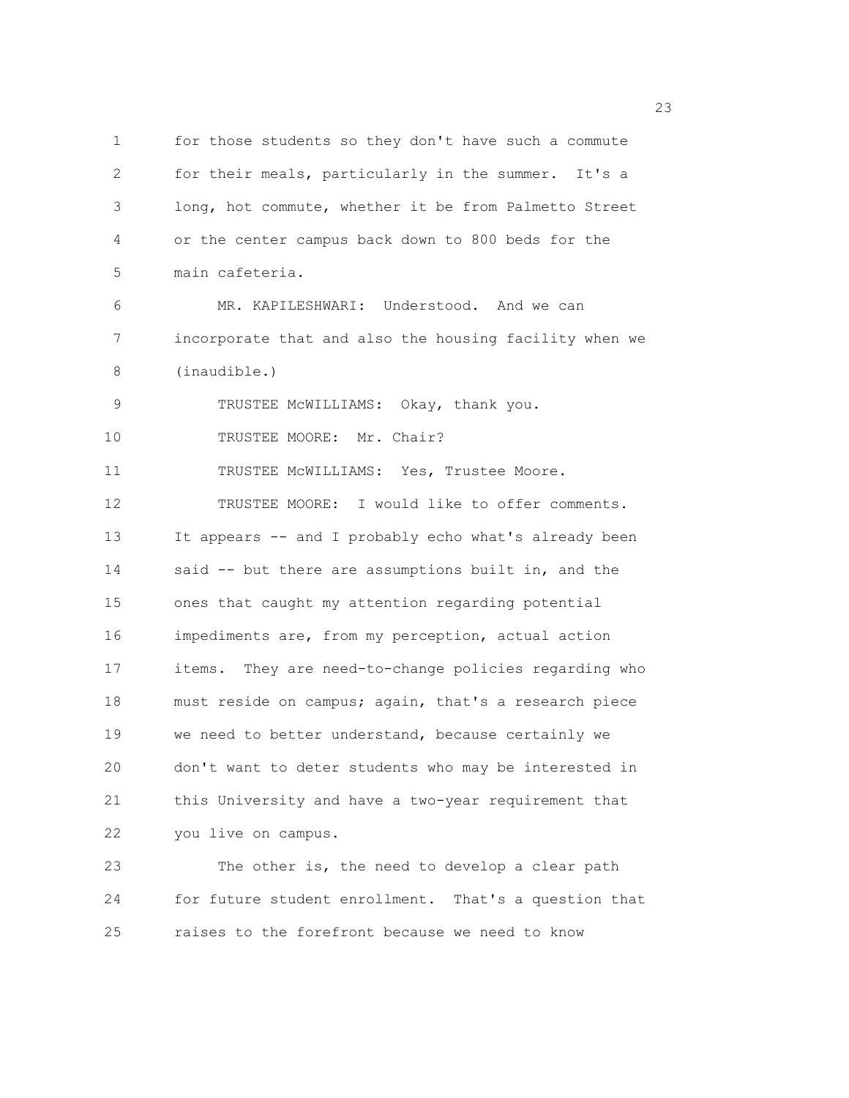1 for those students so they don't have such a commute 2 for their meals, particularly in the summer. It's a 3 long, hot commute, whether it be from Palmetto Street 4 or the center campus back down to 800 beds for the 5 main cafeteria. 6 MR. KAPILESHWARI: Understood. And we can 7 incorporate that and also the housing facility when we 8 (inaudible.) 9 TRUSTEE McWILLIAMS: Okay, thank you. 10 TRUSTEE MOORE: Mr. Chair? 11 TRUSTEE McWILLIAMS: Yes, Trustee Moore. 12 TRUSTEE MOORE: I would like to offer comments. 13 It appears -- and I probably echo what's already been 14 said -- but there are assumptions built in, and the 15 ones that caught my attention regarding potential 16 impediments are, from my perception, actual action 17 items. They are need-to-change policies regarding who 18 must reside on campus; again, that's a research piece 19 we need to better understand, because certainly we 20 don't want to deter students who may be interested in 21 this University and have a two-year requirement that 22 you live on campus. 23 The other is, the need to develop a clear path 24 for future student enrollment. That's a question that

25 raises to the forefront because we need to know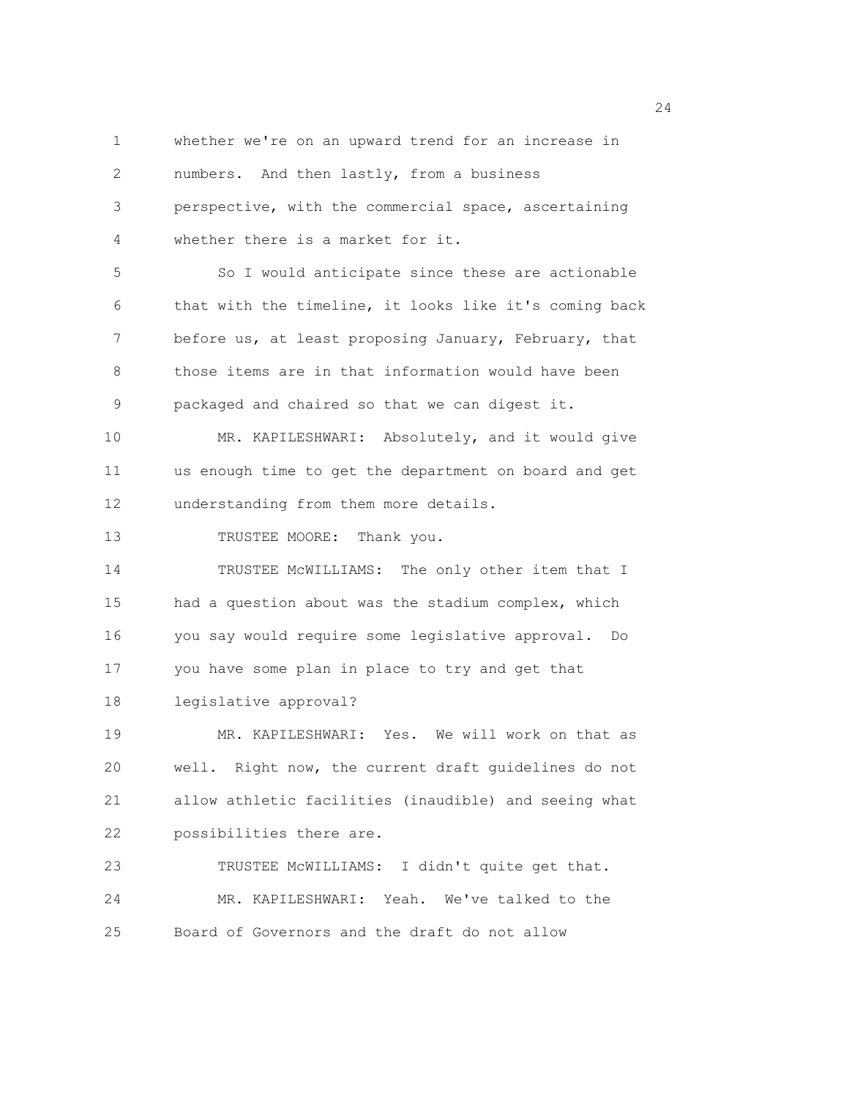1 whether we're on an upward trend for an increase in 2 numbers. And then lastly, from a business 3 perspective, with the commercial space, ascertaining 4 whether there is a market for it. 5 So I would anticipate since these are actionable 6 that with the timeline, it looks like it's coming back 7 before us, at least proposing January, February, that 8 those items are in that information would have been 9 packaged and chaired so that we can digest it. 10 MR. KAPILESHWARI: Absolutely, and it would give 11 us enough time to get the department on board and get 12 understanding from them more details. 13 TRUSTEE MOORE: Thank you. 14 TRUSTEE McWILLIAMS: The only other item that I 15 had a question about was the stadium complex, which 16 you say would require some legislative approval. Do 17 you have some plan in place to try and get that 18 legislative approval? 19 MR. KAPILESHWARI: Yes. We will work on that as 20 well. Right now, the current draft guidelines do not 21 allow athletic facilities (inaudible) and seeing what 22 possibilities there are. 23 TRUSTEE McWILLIAMS: I didn't quite get that. 24 MR. KAPILESHWARI: Yeah. We've talked to the 25 Board of Governors and the draft do not allow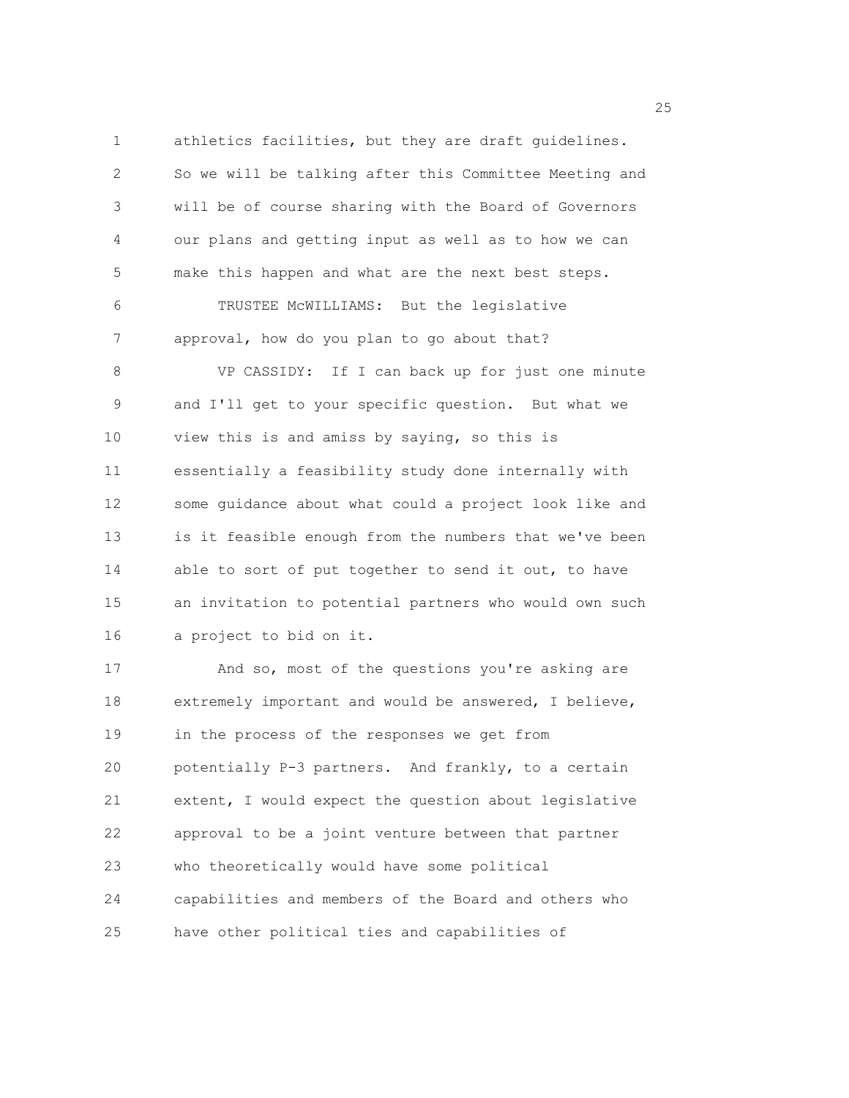1 athletics facilities, but they are draft guidelines. 2 So we will be talking after this Committee Meeting and 3 will be of course sharing with the Board of Governors 4 our plans and getting input as well as to how we can 5 make this happen and what are the next best steps. 6 TRUSTEE McWILLIAMS: But the legislative 7 approval, how do you plan to go about that? 8 VP CASSIDY: If I can back up for just one minute 9 and I'll get to your specific question. But what we 10 view this is and amiss by saying, so this is 11 essentially a feasibility study done internally with 12 some guidance about what could a project look like and 13 is it feasible enough from the numbers that we've been 14 able to sort of put together to send it out, to have 15 an invitation to potential partners who would own such 16 a project to bid on it. 17 And so, most of the questions you're asking are 18 extremely important and would be answered, I believe, 19 in the process of the responses we get from 20 potentially P-3 partners. And frankly, to a certain 21 extent, I would expect the question about legislative 22 approval to be a joint venture between that partner 23 who theoretically would have some political 24 capabilities and members of the Board and others who

25 have other political ties and capabilities of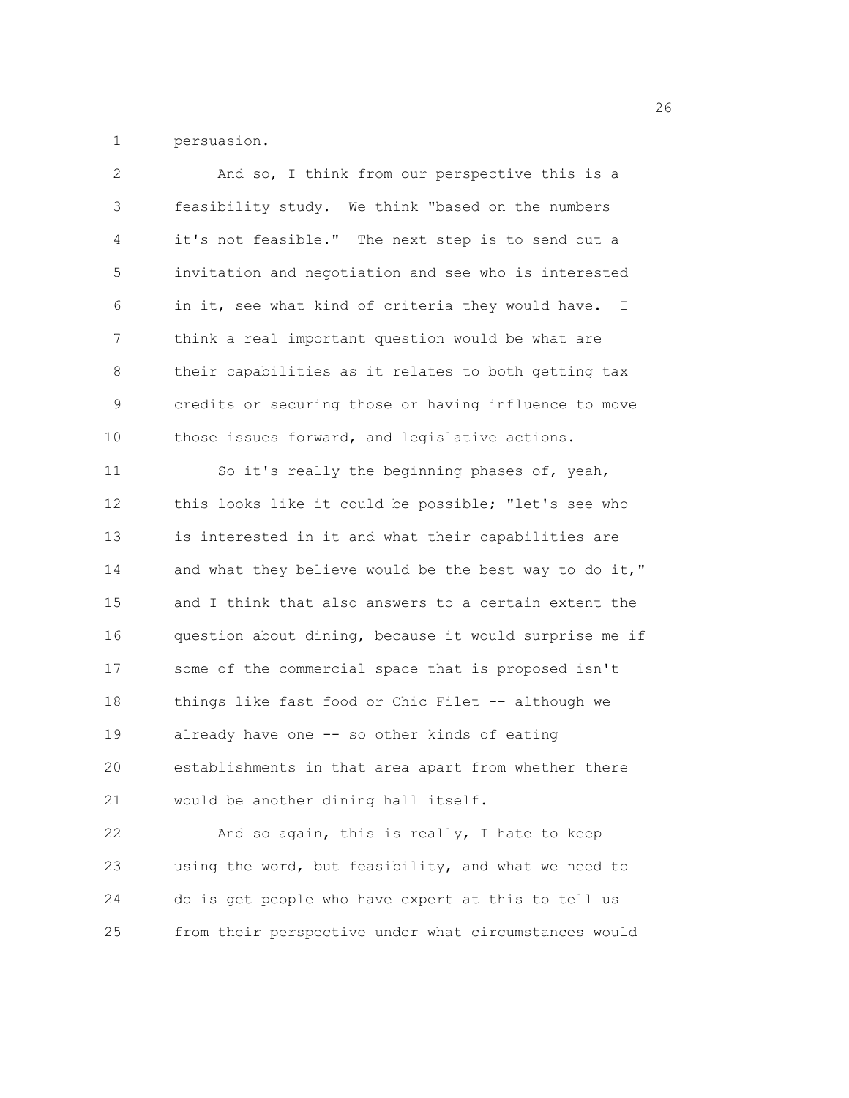1 persuasion.

| 2           | And so, I think from our perspective this is a         |
|-------------|--------------------------------------------------------|
| 3           | feasibility study. We think "based on the numbers      |
| 4           | it's not feasible." The next step is to send out a     |
| 5           | invitation and negotiation and see who is interested   |
| 6           | in it, see what kind of criteria they would have. I    |
| 7           | think a real important question would be what are      |
| 8           | their capabilities as it relates to both getting tax   |
| $\mathsf 9$ | credits or securing those or having influence to move  |
| 10          | those issues forward, and legislative actions.         |
| 11          | So it's really the beginning phases of, yeah,          |
| 12          | this looks like it could be possible; "let's see who   |
| 13          | is interested in it and what their capabilities are    |
| 14          | and what they believe would be the best way to do it," |
| 15          | and I think that also answers to a certain extent the  |
| 16          | question about dining, because it would surprise me if |
| 17          | some of the commercial space that is proposed isn't    |
| 18          | things like fast food or Chic Filet -- although we     |
| 19          | already have one -- so other kinds of eating           |
| 20          | establishments in that area apart from whether there   |
| 21          | would be another dining hall itself.                   |
| 22          | And so again, this is really, I hate to keep           |
| 23          | using the word, but feasibility, and what we need to   |
| 24          | do is get people who have expert at this to tell us    |
| 25          | from their perspective under what circumstances would  |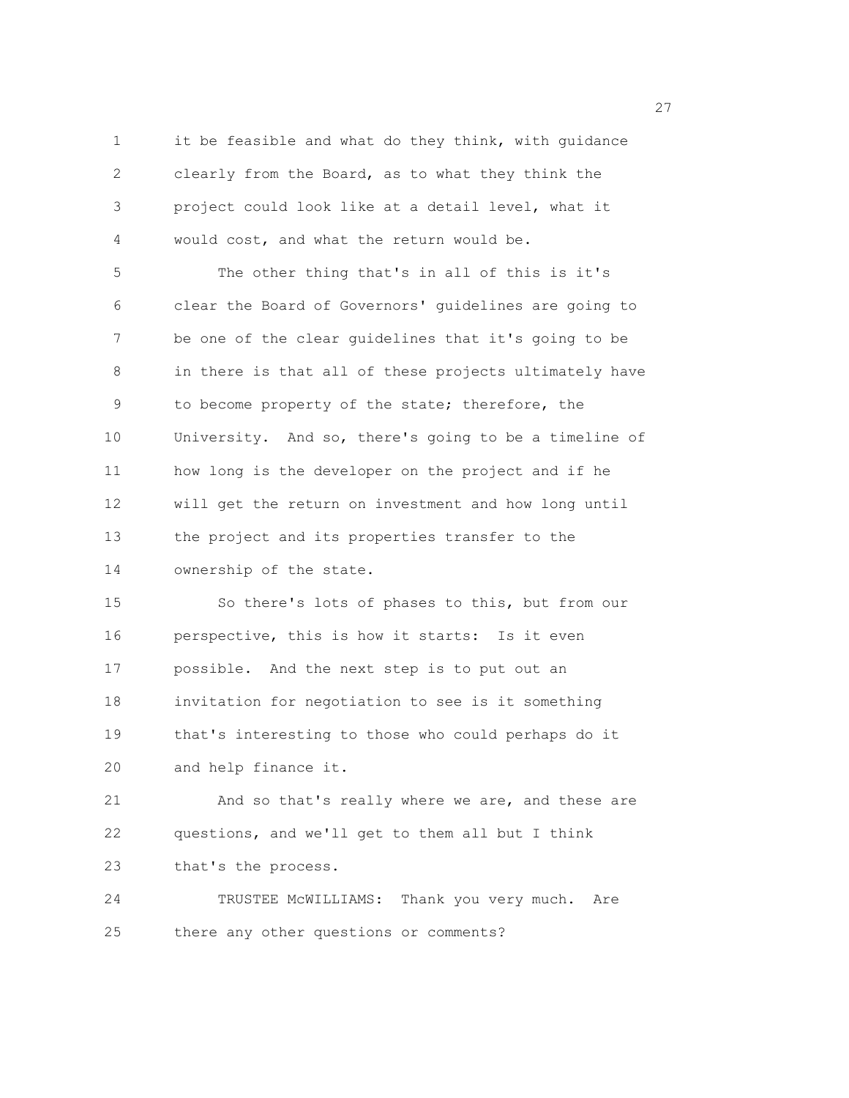1 it be feasible and what do they think, with guidance 2 clearly from the Board, as to what they think the 3 project could look like at a detail level, what it 4 would cost, and what the return would be.

5 The other thing that's in all of this is it's 6 clear the Board of Governors' guidelines are going to 7 be one of the clear guidelines that it's going to be 8 in there is that all of these projects ultimately have 9 to become property of the state; therefore, the 10 University. And so, there's going to be a timeline of 11 how long is the developer on the project and if he 12 will get the return on investment and how long until 13 the project and its properties transfer to the 14 ownership of the state.

15 So there's lots of phases to this, but from our 16 perspective, this is how it starts: Is it even 17 possible. And the next step is to put out an 18 invitation for negotiation to see is it something 19 that's interesting to those who could perhaps do it 20 and help finance it.

21 And so that's really where we are, and these are 22 questions, and we'll get to them all but I think 23 that's the process.

24 TRUSTEE McWILLIAMS: Thank you very much. Are 25 there any other questions or comments?

<u>27</u>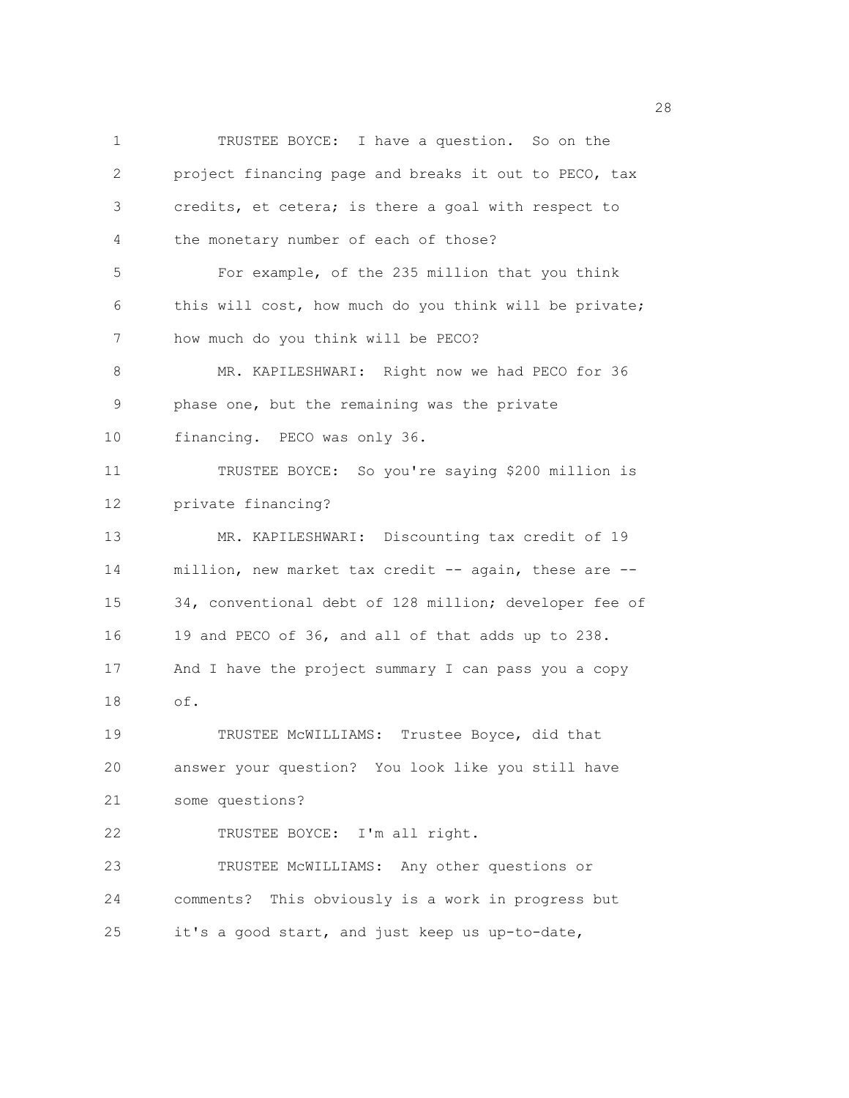1 TRUSTEE BOYCE: I have a question. So on the 2 project financing page and breaks it out to PECO, tax 3 credits, et cetera; is there a goal with respect to 4 the monetary number of each of those? 5 For example, of the 235 million that you think 6 this will cost, how much do you think will be private; 7 how much do you think will be PECO? 8 MR. KAPILESHWARI: Right now we had PECO for 36 9 phase one, but the remaining was the private 10 financing. PECO was only 36. 11 TRUSTEE BOYCE: So you're saying \$200 million is 12 private financing? 13 MR. KAPILESHWARI: Discounting tax credit of 19 14 million, new market tax credit -- again, these are -- 15 34, conventional debt of 128 million; developer fee of 16 19 and PECO of 36, and all of that adds up to 238. 17 And I have the project summary I can pass you a copy 18 of. 19 TRUSTEE McWILLIAMS: Trustee Boyce, did that 20 answer your question? You look like you still have 21 some questions? 22 TRUSTEE BOYCE: I'm all right. 23 TRUSTEE McWILLIAMS: Any other questions or 24 comments? This obviously is a work in progress but 25 it's a good start, and just keep us up-to-date,

28 and 28 and 28 and 28 and 28 and 28 and 28 and 28 and 28 and 28 and 28 and 28 and 28 and 28 and 28 and 28 and 28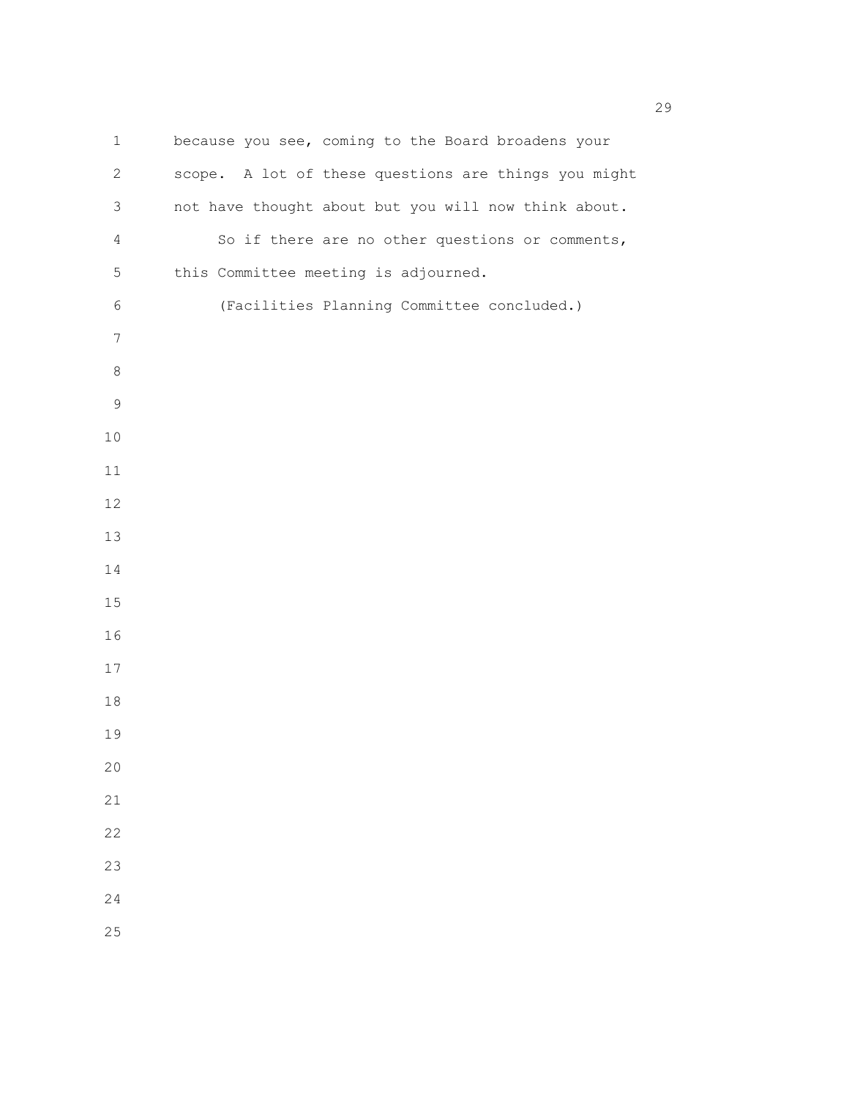1 because you see, coming to the Board broadens your 2 scope. A lot of these questions are things you might 3 not have thought about but you will now think about. 4 So if there are no other questions or comments, 5 this Committee meeting is adjourned. 6 (Facilities Planning Committee concluded.)